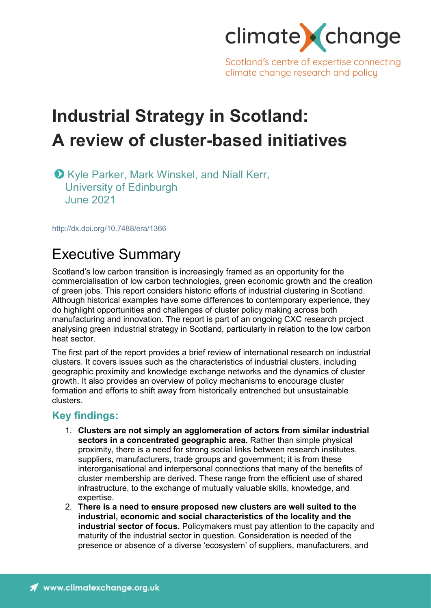

Scotland's centre of expertise connecting climate change research and policy

# **Industrial Strategy in Scotland: A review of cluster-based initiatives**

**O** Kyle Parker, Mark Winskel, and Niall Kerr, University of Edinburgh June 2021

<http://dx.doi.org/10.7488/era/1366>

# Executive Summary

Scotland's low carbon transition is increasingly framed as an opportunity for the commercialisation of low carbon technologies, green economic growth and the creation of green jobs. This report considers historic efforts of industrial clustering in Scotland. Although historical examples have some differences to contemporary experience, they do highlight opportunities and challenges of cluster policy making across both manufacturing and innovation. The report is part of an ongoing CXC research project analysing green industrial strategy in Scotland, particularly in relation to the low carbon heat sector.

The first part of the report provides a brief review of international research on industrial clusters. It covers issues such as the characteristics of industrial clusters, including geographic proximity and knowledge exchange networks and the dynamics of cluster growth. It also provides an overview of policy mechanisms to encourage cluster formation and efforts to shift away from historically entrenched but unsustainable clusters.

### **Key findings:**

- 1. **Clusters are not simply an agglomeration of actors from similar industrial sectors in a concentrated geographic area.** Rather than simple physical proximity, there is a need for strong social links between research institutes, suppliers, manufacturers, trade groups and government; it is from these interorganisational and interpersonal connections that many of the benefits of cluster membership are derived. These range from the efficient use of shared infrastructure, to the exchange of mutually valuable skills, knowledge, and expertise.
- 2. **There is a need to ensure proposed new clusters are well suited to the industrial, economic and social characteristics of the locality and the industrial sector of focus.** Policymakers must pay attention to the capacity and maturity of the industrial sector in question. Consideration is needed of the presence or absence of a diverse 'ecosystem' of suppliers, manufacturers, and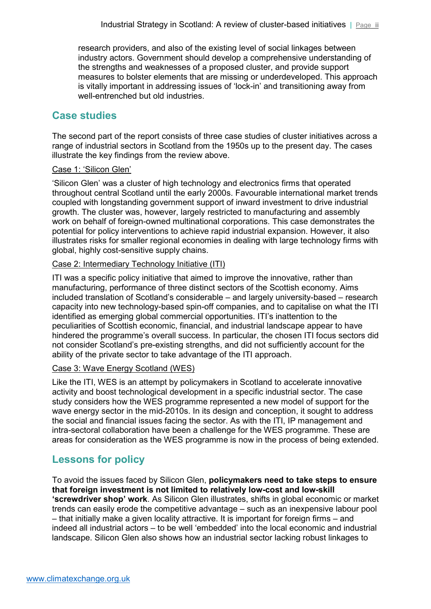research providers, and also of the existing level of social linkages between industry actors. Government should develop a comprehensive understanding of the strengths and weaknesses of a proposed cluster, and provide support measures to bolster elements that are missing or underdeveloped. This approach is vitally important in addressing issues of 'lock-in' and transitioning away from well-entrenched but old industries.

### **Case studies**

The second part of the report consists of three case studies of cluster initiatives across a range of industrial sectors in Scotland from the 1950s up to the present day. The cases illustrate the key findings from the review above.

#### Case 1: 'Silicon Glen'

'Silicon Glen' was a cluster of high technology and electronics firms that operated throughout central Scotland until the early 2000s. Favourable international market trends coupled with longstanding government support of inward investment to drive industrial growth. The cluster was, however, largely restricted to manufacturing and assembly work on behalf of foreign-owned multinational corporations. This case demonstrates the potential for policy interventions to achieve rapid industrial expansion. However, it also illustrates risks for smaller regional economies in dealing with large technology firms with global, highly cost-sensitive supply chains.

#### Case 2: Intermediary Technology Initiative (ITI)

ITI was a specific policy initiative that aimed to improve the innovative, rather than manufacturing, performance of three distinct sectors of the Scottish economy. Aims included translation of Scotland's considerable – and largely university-based – research capacity into new technology-based spin-off companies, and to capitalise on what the ITI identified as emerging global commercial opportunities. ITI's inattention to the peculiarities of Scottish economic, financial, and industrial landscape appear to have hindered the programme's overall success. In particular, the chosen ITI focus sectors did not consider Scotland's pre-existing strengths, and did not sufficiently account for the ability of the private sector to take advantage of the ITI approach.

#### Case 3: Wave Energy Scotland (WES)

Like the ITI, WES is an attempt by policymakers in Scotland to accelerate innovative activity and boost technological development in a specific industrial sector. The case study considers how the WES programme represented a new model of support for the wave energy sector in the mid-2010s. In its design and conception, it sought to address the social and financial issues facing the sector. As with the ITI, IP management and intra-sectoral collaboration have been a challenge for the WES programme. These are areas for consideration as the WES programme is now in the process of being extended.

### **Lessons for policy**

To avoid the issues faced by Silicon Glen, **policymakers need to take steps to ensure that foreign investment is not limited to relatively low-cost and low-skill 'screwdriver shop' work**. As Silicon Glen illustrates, shifts in global economic or market trends can easily erode the competitive advantage – such as an inexpensive labour pool – that initially make a given locality attractive. It is important for foreign firms – and indeed all industrial actors – to be well 'embedded' into the local economic and industrial landscape. Silicon Glen also shows how an industrial sector lacking robust linkages to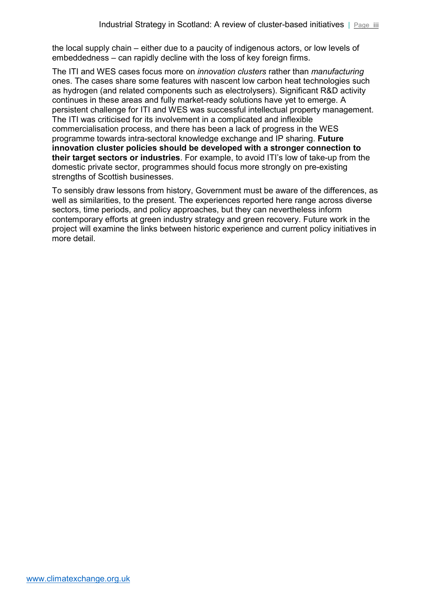the local supply chain – either due to a paucity of indigenous actors, or low levels of embeddedness – can rapidly decline with the loss of key foreign firms.

The ITI and WES cases focus more on *innovation clusters* rather than *manufacturing* ones. The cases share some features with nascent low carbon heat technologies such as hydrogen (and related components such as electrolysers). Significant R&D activity continues in these areas and fully market-ready solutions have yet to emerge. A persistent challenge for ITI and WES was successful intellectual property management. The ITI was criticised for its involvement in a complicated and inflexible commercialisation process, and there has been a lack of progress in the WES programme towards intra-sectoral knowledge exchange and IP sharing. **Future innovation cluster policies should be developed with a stronger connection to their target sectors or industries**. For example, to avoid ITI's low of take-up from the domestic private sector, programmes should focus more strongly on pre-existing strengths of Scottish businesses.

To sensibly draw lessons from history, Government must be aware of the differences, as well as similarities, to the present. The experiences reported here range across diverse sectors, time periods, and policy approaches, but they can nevertheless inform contemporary efforts at green industry strategy and green recovery. Future work in the project will examine the links between historic experience and current policy initiatives in more detail.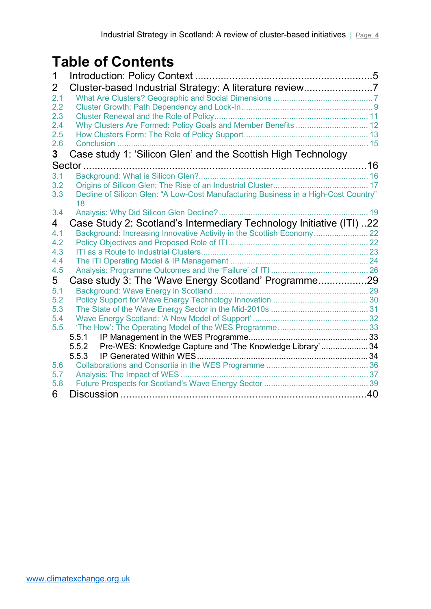# **Table of Contents**

| 1          |                                                                                           |  |
|------------|-------------------------------------------------------------------------------------------|--|
| 2          | Cluster-based Industrial Strategy: A literature review7                                   |  |
| 2.1        |                                                                                           |  |
| 2.2        |                                                                                           |  |
| 2.3        |                                                                                           |  |
| 2.4        | Why Clusters Are Formed: Policy Goals and Member Benefits  12                             |  |
| 2.5        |                                                                                           |  |
| 2.6        | Conclusion                                                                                |  |
| 3          | Case study 1: 'Silicon Glen' and the Scottish High Technology                             |  |
|            |                                                                                           |  |
| 3.1        |                                                                                           |  |
| 3.2        |                                                                                           |  |
| 3.3        | Decline of Silicon Glen: "A Low-Cost Manufacturing Business in a High-Cost Country"<br>18 |  |
| 3.4        |                                                                                           |  |
| 4          | Case Study 2: Scotland's Intermediary Technology Initiative (ITI) 22                      |  |
| 4.1        |                                                                                           |  |
| 4.2        |                                                                                           |  |
| 4.3        |                                                                                           |  |
| 4.4        |                                                                                           |  |
| 4.5        |                                                                                           |  |
| 5          | Case study 3: The 'Wave Energy Scotland' Programme29                                      |  |
| 5.1        |                                                                                           |  |
| 5.2        |                                                                                           |  |
| 5.3<br>5.4 |                                                                                           |  |
| 5.5        |                                                                                           |  |
|            | 5.5.1                                                                                     |  |
|            | 5.5.2 Pre-WES: Knowledge Capture and 'The Knowledge Library'34                            |  |
|            | 5.5.3                                                                                     |  |
| 5.6        |                                                                                           |  |
| 5.7        |                                                                                           |  |
| 5.8        |                                                                                           |  |
| 6          |                                                                                           |  |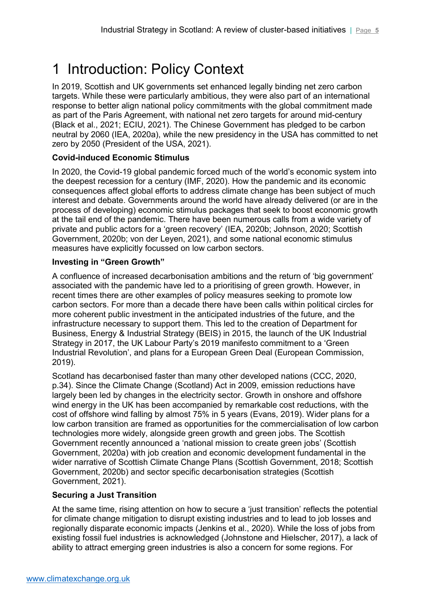# <span id="page-4-0"></span>1 Introduction: Policy Context

In 2019, Scottish and UK governments set enhanced legally binding net zero carbon targets. While these were particularly ambitious, they were also part of an international response to better align national policy commitments with the global commitment made as part of the Paris Agreement, with national net zero targets for around mid-century (Black et al., 2021; ECIU, 2021). The Chinese Government has pledged to be carbon neutral by 2060 (IEA, 2020a), while the new presidency in the USA has committed to net zero by 2050 (President of the USA, 2021).

### **Covid-induced Economic Stimulus**

In 2020, the Covid-19 global pandemic forced much of the world's economic system into the deepest recession for a century (IMF, 2020). How the pandemic and its economic consequences affect global efforts to address climate change has been subject of much interest and debate. Governments around the world have already delivered (or are in the process of developing) economic stimulus packages that seek to boost economic growth at the tail end of the pandemic. There have been numerous calls from a wide variety of private and public actors for a 'green recovery' (IEA, 2020b; Johnson, 2020; Scottish Government, 2020b; von der Leyen, 2021), and some national economic stimulus measures have explicitly focussed on low carbon sectors.

#### **Investing in "Green Growth"**

A confluence of increased decarbonisation ambitions and the return of 'big government' associated with the pandemic have led to a prioritising of green growth. However, in recent times there are other examples of policy measures seeking to promote low carbon sectors. For more than a decade there have been calls within political circles for more coherent public investment in the anticipated industries of the future, and the infrastructure necessary to support them. This led to the creation of Department for Business, Energy & Industrial Strategy (BEIS) in 2015, the launch of the UK Industrial Strategy in 2017, the UK Labour Party's 2019 manifesto commitment to a 'Green Industrial Revolution', and plans for a European Green Deal (European Commission, 2019).

Scotland has decarbonised faster than many other developed nations (CCC, 2020, p.34). Since the Climate Change (Scotland) Act in 2009, emission reductions have largely been led by changes in the electricity sector. Growth in onshore and offshore wind energy in the UK has been accompanied by remarkable cost reductions, with the cost of offshore wind falling by almost 75% in 5 years (Evans, 2019). Wider plans for a low carbon transition are framed as opportunities for the commercialisation of low carbon technologies more widely, alongside green growth and green jobs. The Scottish Government recently announced a 'national mission to create green jobs' (Scottish Government, 2020a) with job creation and economic development fundamental in the wider narrative of Scottish Climate Change Plans (Scottish Government, 2018; Scottish Government, 2020b) and sector specific decarbonisation strategies (Scottish Government, 2021).

### **Securing a Just Transition**

At the same time, rising attention on how to secure a 'just transition' reflects the potential for climate change mitigation to disrupt existing industries and to lead to job losses and regionally disparate economic impacts (Jenkins et al., 2020). While the loss of jobs from existing fossil fuel industries is acknowledged (Johnstone and Hielscher, 2017), a lack of ability to attract emerging green industries is also a concern for some regions. For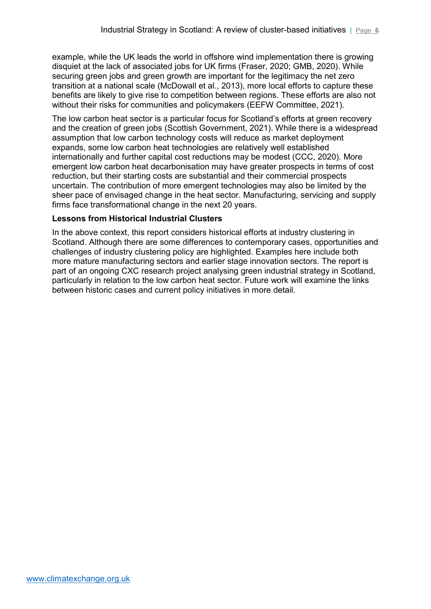example, while the UK leads the world in offshore wind implementation there is growing disquiet at the lack of associated jobs for UK firms (Fraser, 2020; GMB, 2020). While securing green jobs and green growth are important for the legitimacy the net zero transition at a national scale (McDowall et al., 2013), more local efforts to capture these benefits are likely to give rise to competition between regions. These efforts are also not without their risks for communities and policymakers (EEFW Committee, 2021).

The low carbon heat sector is a particular focus for Scotland's efforts at green recovery and the creation of green jobs (Scottish Government, 2021). While there is a widespread assumption that low carbon technology costs will reduce as market deployment expands, some low carbon heat technologies are relatively well established internationally and further capital cost reductions may be modest (CCC, 2020). More emergent low carbon heat decarbonisation may have greater prospects in terms of cost reduction, but their starting costs are substantial and their commercial prospects uncertain. The contribution of more emergent technologies may also be limited by the sheer pace of envisaged change in the heat sector. Manufacturing, servicing and supply firms face transformational change in the next 20 years.

#### **Lessons from Historical Industrial Clusters**

In the above context, this report considers historical efforts at industry clustering in Scotland. Although there are some differences to contemporary cases, opportunities and challenges of industry clustering policy are highlighted. Examples here include both more mature manufacturing sectors and earlier stage innovation sectors. The report is part of an ongoing CXC research project analysing green industrial strategy in Scotland, particularly in relation to the low carbon heat sector. Future work will examine the links between historic cases and current policy initiatives in more detail.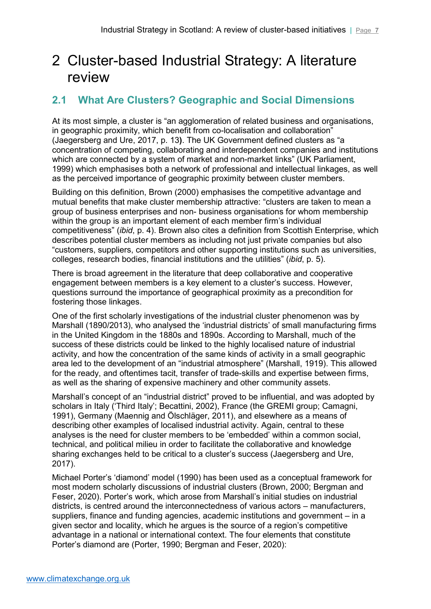# <span id="page-6-0"></span>2 Cluster-based Industrial Strategy: A literature review

# <span id="page-6-1"></span>**2.1 What Are Clusters? Geographic and Social Dimensions**

At its most simple, a cluster is "an agglomeration of related business and organisations, in geographic proximity, which benefit from co-localisation and collaboration" (Jaegersberg and Ure, 2017, p. 13**)**. The UK Government defined clusters as "a concentration of competing, collaborating and interdependent companies and institutions which are connected by a system of market and non-market links" (UK Parliament, 1999) which emphasises both a network of professional and intellectual linkages, as well as the perceived importance of geographic proximity between cluster members.

Building on this definition, Brown (2000) emphasises the competitive advantage and mutual benefits that make cluster membership attractive: "clusters are taken to mean a group of business enterprises and non- business organisations for whom membership within the group is an important element of each member firm's individual competitiveness" (*ibid*, p. 4). Brown also cites a definition from Scottish Enterprise, which describes potential cluster members as including not just private companies but also "customers, suppliers, competitors and other supporting institutions such as universities, colleges, research bodies, financial institutions and the utilities" (*ibid*, p. 5).

There is broad agreement in the literature that deep collaborative and cooperative engagement between members is a key element to a cluster's success. However, questions surround the importance of geographical proximity as a precondition for fostering those linkages.

One of the first scholarly investigations of the industrial cluster phenomenon was by Marshall (1890/2013), who analysed the 'industrial districts' of small manufacturing firms in the United Kingdom in the 1880s and 1890s. According to Marshall, much of the success of these districts could be linked to the highly localised nature of industrial activity, and how the concentration of the same kinds of activity in a small geographic area led to the development of an "industrial atmosphere" (Marshall, 1919). This allowed for the ready, and oftentimes tacit, transfer of trade-skills and expertise between firms, as well as the sharing of expensive machinery and other community assets.

Marshall's concept of an "industrial district" proved to be influential, and was adopted by scholars in Italy ('Third Italy'; Becattini, 2002), France (the GREMI group; Camagni, 1991), Germany (Maennig and Ölschläger, 2011), and elsewhere as a means of describing other examples of localised industrial activity. Again, central to these analyses is the need for cluster members to be 'embedded' within a common social, technical, and political milieu in order to facilitate the collaborative and knowledge sharing exchanges held to be critical to a cluster's success (Jaegersberg and Ure, 2017).

Michael Porter's 'diamond' model (1990) has been used as a conceptual framework for most modern scholarly discussions of industrial clusters (Brown, 2000; Bergman and Feser, 2020). Porter's work, which arose from Marshall's initial studies on industrial districts, is centred around the interconnectedness of various actors – manufacturers, suppliers, finance and funding agencies, academic institutions and government – in a given sector and locality, which he argues is the source of a region's competitive advantage in a national or international context. The four elements that constitute Porter's diamond are (Porter, 1990; Bergman and Feser, 2020):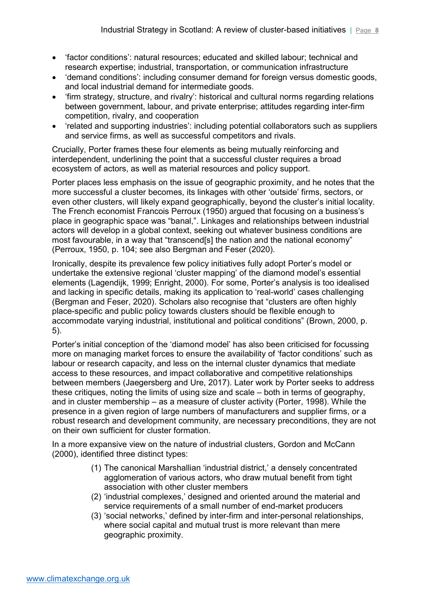- 'factor conditions': natural resources; educated and skilled labour; technical and research expertise; industrial, transportation, or communication infrastructure
- 'demand conditions': including consumer demand for foreign versus domestic goods, and local industrial demand for intermediate goods.
- 'firm strategy, structure, and rivalry': historical and cultural norms regarding relations between government, labour, and private enterprise; attitudes regarding inter-firm competition, rivalry, and cooperation
- 'related and supporting industries': including potential collaborators such as suppliers and service firms, as well as successful competitors and rivals.

Crucially, Porter frames these four elements as being mutually reinforcing and interdependent, underlining the point that a successful cluster requires a broad ecosystem of actors, as well as material resources and policy support.

Porter places less emphasis on the issue of geographic proximity, and he notes that the more successful a cluster becomes, its linkages with other 'outside' firms, sectors, or even other clusters, will likely expand geographically, beyond the cluster's initial locality. The French economist Francois Perroux (1950) argued that focusing on a business's place in geographic space was "banal,". Linkages and relationships between industrial actors will develop in a global context, seeking out whatever business conditions are most favourable, in a way that "transcend[s] the nation and the national economy" (Perroux, 1950, p. 104; see also Bergman and Feser (2020).

Ironically, despite its prevalence few policy initiatives fully adopt Porter's model or undertake the extensive regional 'cluster mapping' of the diamond model's essential elements (Lagendijk, 1999; Enright, 2000). For some, Porter's analysis is too idealised and lacking in specific details, making its application to 'real-world' cases challenging (Bergman and Feser, 2020). Scholars also recognise that "clusters are often highly place-specific and public policy towards clusters should be flexible enough to accommodate varying industrial, institutional and political conditions" (Brown, 2000, p. 5).

Porter's initial conception of the 'diamond model' has also been criticised for focussing more on managing market forces to ensure the availability of 'factor conditions' such as labour or research capacity, and less on the internal cluster dynamics that mediate access to these resources, and impact collaborative and competitive relationships between members (Jaegersberg and Ure, 2017). Later work by Porter seeks to address these critiques, noting the limits of using size and scale – both in terms of geography, and in cluster membership – as a measure of cluster activity (Porter, 1998). While the presence in a given region of large numbers of manufacturers and supplier firms, or a robust research and development community, are necessary preconditions, they are not on their own sufficient for cluster formation.

In a more expansive view on the nature of industrial clusters, Gordon and McCann (2000), identified three distinct types:

- (1) The canonical Marshallian 'industrial district,' a densely concentrated agglomeration of various actors, who draw mutual benefit from tight association with other cluster members
- (2) 'industrial complexes,' designed and oriented around the material and service requirements of a small number of end-market producers
- (3) 'social networks,' defined by inter-firm and inter-personal relationships, where social capital and mutual trust is more relevant than mere geographic proximity.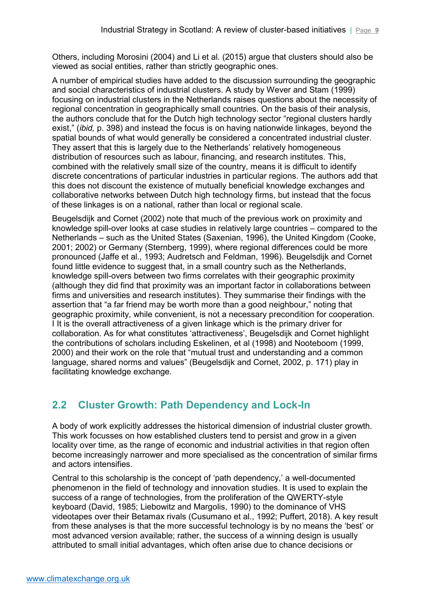Others, including Morosini (2004) and Li et al. (2015) argue that clusters should also be viewed as social entities, rather than strictly geographic ones.

A number of empirical studies have added to the discussion surrounding the geographic and social characteristics of industrial clusters. A study by Wever and Stam (1999) focusing on industrial clusters in the Netherlands raises questions about the necessity of regional concentration in geographically small countries. On the basis of their analysis, the authors conclude that for the Dutch high technology sector "regional clusters hardly exist," (*ibid,* p. 398) and instead the focus is on having nationwide linkages, beyond the spatial bounds of what would generally be considered a concentrated industrial cluster. They assert that this is largely due to the Netherlands' relatively homogeneous distribution of resources such as labour, financing, and research institutes. This, combined with the relatively small size of the country, means it is difficult to identify discrete concentrations of particular industries in particular regions. The authors add that this does not discount the existence of mutually beneficial knowledge exchanges and collaborative networks between Dutch high technology firms, but instead that the focus of these linkages is on a national, rather than local or regional scale.

Beugelsdijk and Cornet (2002) note that much of the previous work on proximity and knowledge spill-over looks at case studies in relatively large countries – compared to the Netherlands – such as the United States (Saxenian, 1996), the United Kingdom (Cooke, 2001; 2002) or Germany (Sternberg, 1999), where regional differences could be more pronounced (Jaffe et al., 1993; Audretsch and Feldman, 1996). Beugelsdijk and Cornet found little evidence to suggest that, in a small country such as the Netherlands, knowledge spill-overs between two firms correlates with their geographic proximity (although they did find that proximity was an important factor in collaborations between firms and universities and research institutes). They summarise their findings with the assertion that "a far friend may be worth more than a good neighbour," noting that geographic proximity, while convenient, is not a necessary precondition for cooperation. I It is the overall attractiveness of a given linkage which is the primary driver for collaboration. As for what constitutes 'attractiveness', Beugelsdijk and Cornet highlight the contributions of scholars including Eskelinen, et al (1998) and Nooteboom (1999, 2000) and their work on the role that "mutual trust and understanding and a common language, shared norms and values" (Beugelsdijk and Cornet, 2002, p. 171) play in facilitating knowledge exchange.

# <span id="page-8-0"></span>**2.2 Cluster Growth: Path Dependency and Lock-In**

A body of work explicitly addresses the historical dimension of industrial cluster growth. This work focusses on how established clusters tend to persist and grow in a given locality over time, as the range of economic and industrial activities in that region often become increasingly narrower and more specialised as the concentration of similar firms and actors intensifies.

Central to this scholarship is the concept of 'path dependency,' a well-documented phenomenon in the field of technology and innovation studies. It is used to explain the success of a range of technologies, from the proliferation of the QWERTY-style keyboard (David, 1985; Liebowitz and Margolis, 1990) to the dominance of VHS videotapes over their Betamax rivals (Cusumano et al., 1992; Puffert, 2018). A key result from these analyses is that the more successful technology is by no means the 'best' or most advanced version available; rather, the success of a winning design is usually attributed to small initial advantages, which often arise due to chance decisions or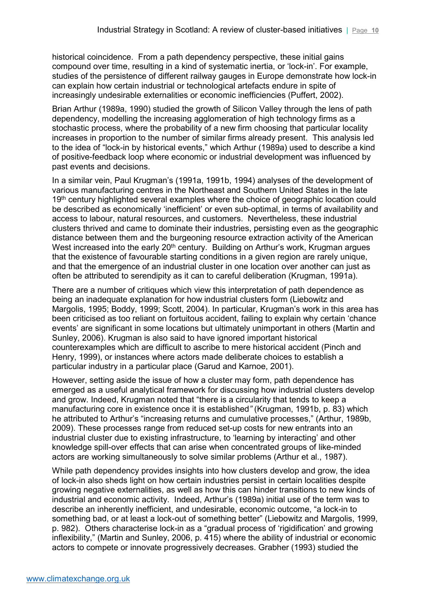historical coincidence. From a path dependency perspective, these initial gains compound over time, resulting in a kind of systematic inertia, or 'lock-in'. For example, studies of the persistence of different railway gauges in Europe demonstrate how lock-in can explain how certain industrial or technological artefacts endure in spite of increasingly undesirable externalities or economic inefficiencies (Puffert, 2002).

Brian Arthur (1989a, 1990) studied the growth of Silicon Valley through the lens of path dependency, modelling the increasing agglomeration of high technology firms as a stochastic process, where the probability of a new firm choosing that particular locality increases in proportion to the number of similar firms already present. This analysis led to the idea of "lock-in by historical events," which Arthur (1989a) used to describe a kind of positive-feedback loop where economic or industrial development was influenced by past events and decisions.

In a similar vein, Paul Krugman's (1991a, 1991b, 1994) analyses of the development of various manufacturing centres in the Northeast and Southern United States in the late 19<sup>th</sup> century highlighted several examples where the choice of geographic location could be described as economically 'inefficient' or even sub-optimal, in terms of availability and access to labour, natural resources, and customers. Nevertheless, these industrial clusters thrived and came to dominate their industries, persisting even as the geographic distance between them and the burgeoning resource extraction activity of the American West increased into the early 20<sup>th</sup> century. Building on Arthur's work, Krugman argues that the existence of favourable starting conditions in a given region are rarely unique, and that the emergence of an industrial cluster in one location over another can just as often be attributed to serendipity as it can to careful deliberation (Krugman, 1991a).

There are a number of critiques which view this interpretation of path dependence as being an inadequate explanation for how industrial clusters form (Liebowitz and Margolis, 1995; Boddy, 1999; Scott, 2004). In particular, Krugman's work in this area has been criticised as too reliant on fortuitous accident, failing to explain why certain 'chance events' are significant in some locations but ultimately unimportant in others (Martin and Sunley, 2006). Krugman is also said to have ignored important historical counterexamples which are difficult to ascribe to mere historical accident (Pinch and Henry, 1999), or instances where actors made deliberate choices to establish a particular industry in a particular place (Garud and Karnoe, 2001).

However, setting aside the issue of how a cluster may form, path dependence has emerged as a useful analytical framework for discussing how industrial clusters develop and grow. Indeed, Krugman noted that "there is a circularity that tends to keep a manufacturing core in existence once it is established*"* (Krugman, 1991b, p. 83) which he attributed to Arthur's "increasing returns and cumulative processes," (Arthur, 1989b, 2009). These processes range from reduced set-up costs for new entrants into an industrial cluster due to existing infrastructure, to 'learning by interacting' and other knowledge spill-over effects that can arise when concentrated groups of like-minded actors are working simultaneously to solve similar problems (Arthur et al., 1987).

While path dependency provides insights into how clusters develop and grow, the idea of lock-in also sheds light on how certain industries persist in certain localities despite growing negative externalities, as well as how this can hinder transitions to new kinds of industrial and economic activity. Indeed, Arthur's (1989a) initial use of the term was to describe an inherently inefficient, and undesirable, economic outcome, "a lock-in to something bad, or at least a lock-out of something better" (Liebowitz and Margolis, 1999, p. 982). Others characterise lock-in as a "gradual process of 'rigidification' and growing inflexibility," (Martin and Sunley, 2006, p. 415) where the ability of industrial or economic actors to compete or innovate progressively decreases. Grabher (1993) studied the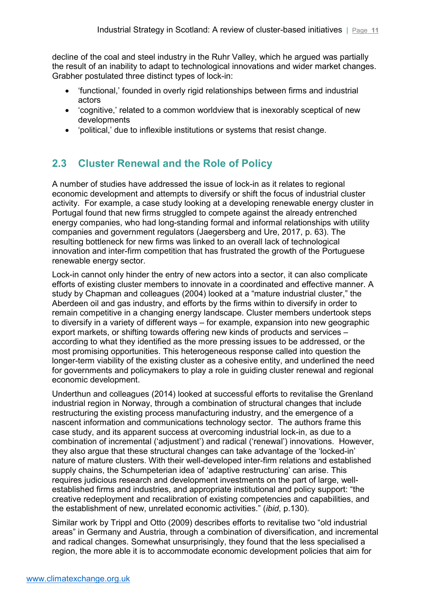decline of the coal and steel industry in the Ruhr Valley, which he argued was partially the result of an inability to adapt to technological innovations and wider market changes. Grabher postulated three distinct types of lock-in:

- 'functional,' founded in overly rigid relationships between firms and industrial actors
- 'cognitive,' related to a common worldview that is inexorably sceptical of new developments
- 'political,' due to inflexible institutions or systems that resist change.

# <span id="page-10-0"></span>**2.3 Cluster Renewal and the Role of Policy**

A number of studies have addressed the issue of lock-in as it relates to regional economic development and attempts to diversify or shift the focus of industrial cluster activity. For example, a case study looking at a developing renewable energy cluster in Portugal found that new firms struggled to compete against the already entrenched energy companies, who had long-standing formal and informal relationships with utility companies and government regulators (Jaegersberg and Ure, 2017, p. 63). The resulting bottleneck for new firms was linked to an overall lack of technological innovation and inter-firm competition that has frustrated the growth of the Portuguese renewable energy sector.

Lock-in cannot only hinder the entry of new actors into a sector, it can also complicate efforts of existing cluster members to innovate in a coordinated and effective manner. A study by Chapman and colleagues (2004) looked at a "mature industrial cluster," the Aberdeen oil and gas industry, and efforts by the firms within to diversify in order to remain competitive in a changing energy landscape. Cluster members undertook steps to diversify in a variety of different ways – for example, expansion into new geographic export markets, or shifting towards offering new kinds of products and services – according to what they identified as the more pressing issues to be addressed, or the most promising opportunities. This heterogeneous response called into question the longer-term viability of the existing cluster as a cohesive entity, and underlined the need for governments and policymakers to play a role in guiding cluster renewal and regional economic development.

Underthun and colleagues (2014) looked at successful efforts to revitalise the Grenland industrial region in Norway, through a combination of structural changes that include restructuring the existing process manufacturing industry, and the emergence of a nascent information and communications technology sector. The authors frame this case study, and its apparent success at overcoming industrial lock-in, as due to a combination of incremental ('adjustment') and radical ('renewal') innovations. However, they also argue that these structural changes can take advantage of the 'locked-in' nature of mature clusters. With their well-developed inter-firm relations and established supply chains, the Schumpeterian idea of 'adaptive restructuring' can arise. This requires judicious research and development investments on the part of large, wellestablished firms and industries, and appropriate institutional and policy support: "the creative redeployment and recalibration of existing competencies and capabilities, and the establishment of new, unrelated economic activities." (*ibid*, p.130).

Similar work by Trippl and Otto (2009) describes efforts to revitalise two "old industrial areas" in Germany and Austria, through a combination of diversification, and incremental and radical changes. Somewhat unsurprisingly, they found that the less specialised a region, the more able it is to accommodate economic development policies that aim for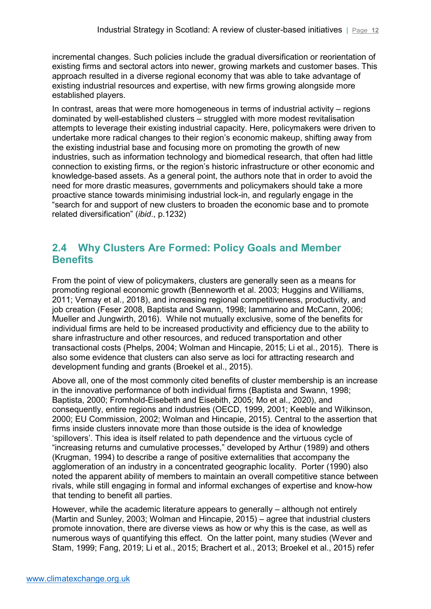incremental changes. Such policies include the gradual diversification or reorientation of existing firms and sectoral actors into newer, growing markets and customer bases. This approach resulted in a diverse regional economy that was able to take advantage of existing industrial resources and expertise, with new firms growing alongside more established players.

In contrast, areas that were more homogeneous in terms of industrial activity – regions dominated by well-established clusters – struggled with more modest revitalisation attempts to leverage their existing industrial capacity. Here, policymakers were driven to undertake more radical changes to their region's economic makeup, shifting away from the existing industrial base and focusing more on promoting the growth of new industries, such as information technology and biomedical research, that often had little connection to existing firms, or the region's historic infrastructure or other economic and knowledge-based assets. As a general point, the authors note that in order to avoid the need for more drastic measures, governments and policymakers should take a more proactive stance towards minimising industrial lock-in, and regularly engage in the "search for and support of new clusters to broaden the economic base and to promote related diversification" (*ibid*., p.1232)

## <span id="page-11-0"></span>**2.4 Why Clusters Are Formed: Policy Goals and Member Benefits**

From the point of view of policymakers, clusters are generally seen as a means for promoting regional economic growth (Benneworth et al. 2003; Huggins and Williams, 2011; Vernay et al., 2018), and increasing regional competitiveness, productivity, and job creation (Feser 2008, Baptista and Swann, 1998; Iammarino and McCann, 2006; Mueller and Jungwirth, 2016). While not mutually exclusive, some of the benefits for individual firms are held to be increased productivity and efficiency due to the ability to share infrastructure and other resources, and reduced transportation and other transactional costs (Phelps, 2004; Wolman and Hincapie, 2015; Li et al., 2015). There is also some evidence that clusters can also serve as loci for attracting research and development funding and grants (Broekel et al., 2015).

Above all, one of the most commonly cited benefits of cluster membership is an increase in the innovative performance of both individual firms (Baptista and Swann, 1998; Baptista, 2000; Fromhold-Eisebeth and Eisebith, 2005; Mo et al., 2020), and consequently, entire regions and industries (OECD, 1999, 2001; Keeble and Wilkinson, 2000; EU Commission, 2002; Wolman and Hincapie, 2015). Central to the assertion that firms inside clusters innovate more than those outside is the idea of knowledge 'spillovers'. This idea is itself related to path dependence and the virtuous cycle of "increasing returns and cumulative processes," developed by Arthur (1989) and others (Krugman, 1994) to describe a range of positive externalities that accompany the agglomeration of an industry in a concentrated geographic locality. Porter (1990) also noted the apparent ability of members to maintain an overall competitive stance between rivals, while still engaging in formal and informal exchanges of expertise and know-how that tending to benefit all parties.

However, while the academic literature appears to generally – although not entirely (Martin and Sunley, 2003; Wolman and Hincapie, 2015) – agree that industrial clusters promote innovation, there are diverse views as how or why this is the case, as well as numerous ways of quantifying this effect. On the latter point, many studies (Wever and Stam, 1999; Fang, 2019; Li et al., 2015; Brachert et al., 2013; Broekel et al., 2015) refer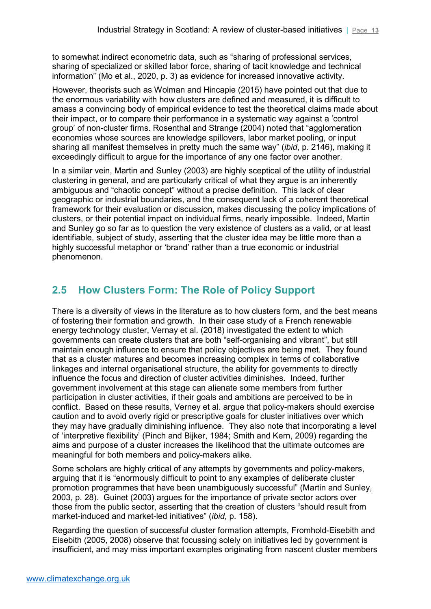to somewhat indirect econometric data, such as "sharing of professional services, sharing of specialized or skilled labor force, sharing of tacit knowledge and technical information" (Mo et al., 2020, p. 3) as evidence for increased innovative activity.

However, theorists such as Wolman and Hincapie (2015) have pointed out that due to the enormous variability with how clusters are defined and measured, it is difficult to amass a convincing body of empirical evidence to test the theoretical claims made about their impact, or to compare their performance in a systematic way against a 'control group' of non-cluster firms. Rosenthal and Strange (2004) noted that "agglomeration economies whose sources are knowledge spillovers, labor market pooling, or input sharing all manifest themselves in pretty much the same way" (*ibid*, p. 2146), making it exceedingly difficult to argue for the importance of any one factor over another.

In a similar vein, Martin and Sunley (2003) are highly sceptical of the utility of industrial clustering in general, and are particularly critical of what they argue is an inherently ambiguous and "chaotic concept" without a precise definition. This lack of clear geographic or industrial boundaries, and the consequent lack of a coherent theoretical framework for their evaluation or discussion, makes discussing the policy implications of clusters, or their potential impact on individual firms, nearly impossible. Indeed, Martin and Sunley go so far as to question the very existence of clusters as a valid, or at least identifiable, subject of study, asserting that the cluster idea may be little more than a highly successful metaphor or 'brand' rather than a true economic or industrial phenomenon.

# <span id="page-12-0"></span>**2.5 How Clusters Form: The Role of Policy Support**

There is a diversity of views in the literature as to how clusters form, and the best means of fostering their formation and growth. In their case study of a French renewable energy technology cluster, Vernay et al. (2018) investigated the extent to which governments can create clusters that are both "self-organising and vibrant", but still maintain enough influence to ensure that policy objectives are being met. They found that as a cluster matures and becomes increasing complex in terms of collaborative linkages and internal organisational structure, the ability for governments to directly influence the focus and direction of cluster activities diminishes. Indeed, further government involvement at this stage can alienate some members from further participation in cluster activities, if their goals and ambitions are perceived to be in conflict. Based on these results, Verney et al. argue that policy-makers should exercise caution and to avoid overly rigid or prescriptive goals for cluster initiatives over which they may have gradually diminishing influence. They also note that incorporating a level of 'interpretive flexibility' (Pinch and Bijker, 1984; Smith and Kern, 2009) regarding the aims and purpose of a cluster increases the likelihood that the ultimate outcomes are meaningful for both members and policy-makers alike.

Some scholars are highly critical of any attempts by governments and policy-makers, arguing that it is "enormously difficult to point to any examples of deliberate cluster promotion programmes that have been unambiguously successful" (Martin and Sunley, 2003, p. 28). Guinet (2003) argues for the importance of private sector actors over those from the public sector, asserting that the creation of clusters "should result from market-induced and market-led initiatives" (*ibid*, p. 158).

Regarding the question of successful cluster formation attempts, Fromhold-Eisebith and Eisebith (2005, 2008) observe that focussing solely on initiatives led by government is insufficient, and may miss important examples originating from nascent cluster members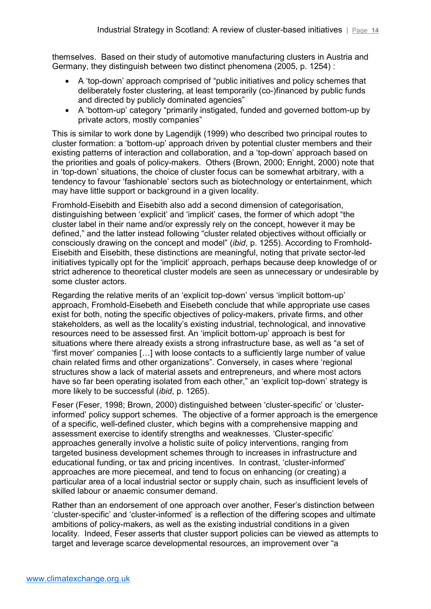themselves. Based on their study of automotive manufacturing clusters in Austria and Germany, they distinguish between two distinct phenomena (2005, p. 1254) :

- A 'top-down' approach comprised of "public initiatives and policy schemes that deliberately foster clustering, at least temporarily (co-)financed by public funds and directed by publicly dominated agencies"
- A 'bottom-up' category "primarily instigated, funded and governed bottom-up by private actors, mostly companies"

This is similar to work done by Lagendijk (1999) who described two principal routes to cluster formation: a 'bottom-up' approach driven by potential cluster members and their existing patterns of interaction and collaboration, and a 'top-down' approach based on the priorities and goals of policy-makers. Others (Brown, 2000; Enright, 2000) note that in 'top-down' situations, the choice of cluster focus can be somewhat arbitrary, with a tendency to favour 'fashionable' sectors such as biotechnology or entertainment, which may have little support or background in a given locality.

Fromhold-Eisebith and Eisebith also add a second dimension of categorisation, distinguishing between 'explicit' and 'implicit' cases, the former of which adopt "the cluster label in their name and/or expressly rely on the concept, however it may be defined," and the latter instead following "cluster related objectives without officially or consciously drawing on the concept and model" (*ibid*, p. 1255). According to Fromhold-Eisebith and Eisebith, these distinctions are meaningful, noting that private sector-led initiatives typically opt for the 'implicit' approach, perhaps because deep knowledge of or strict adherence to theoretical cluster models are seen as unnecessary or undesirable by some cluster actors.

Regarding the relative merits of an 'explicit top-down' versus 'implicit bottom-up' approach, Fromhold-Eisebeth and Eisebeth conclude that while appropriate use cases exist for both, noting the specific objectives of policy-makers, private firms, and other stakeholders, as well as the locality's existing industrial, technological, and innovative resources need to be assessed first. An 'implicit bottom-up' approach is best for situations where there already exists a strong infrastructure base, as well as "a set of 'first mover' companies […] with loose contacts to a sufficiently large number of value chain related firms and other organizations". Conversely, in cases where 'regional structures show a lack of material assets and entrepreneurs, and where most actors have so far been operating isolated from each other," an 'explicit top-down' strategy is more likely to be successful (*ibid*, p. 1265).

Feser (Feser, 1998; Brown, 2000) distinguished between 'cluster-specific' or 'clusterinformed' policy support schemes. The objective of a former approach is the emergence of a specific, well-defined cluster, which begins with a comprehensive mapping and assessment exercise to identify strengths and weaknesses. 'Cluster-specific' approaches generally involve a holistic suite of policy interventions, ranging from targeted business development schemes through to increases in infrastructure and educational funding, or tax and pricing incentives. In contrast, 'cluster-informed' approaches are more piecemeal, and tend to focus on enhancing (or creating) a particular area of a local industrial sector or supply chain, such as insufficient levels of skilled labour or anaemic consumer demand.

Rather than an endorsement of one approach over another, Feser's distinction between 'cluster-specific' and 'cluster-informed' is a reflection of the differing scopes and ultimate ambitions of policy-makers, as well as the existing industrial conditions in a given locality. Indeed, Feser asserts that cluster support policies can be viewed as attempts to target and leverage scarce developmental resources, an improvement over "a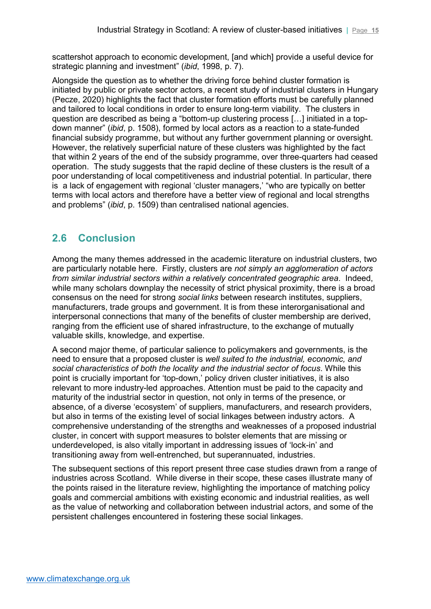scattershot approach to economic development, [and which] provide a useful device for strategic planning and investment" (*ibid*, 1998, p. 7).

Alongside the question as to whether the driving force behind cluster formation is initiated by public or private sector actors, a recent study of industrial clusters in Hungary (Pecze, 2020) highlights the fact that cluster formation efforts must be carefully planned and tailored to local conditions in order to ensure long-term viability. The clusters in question are described as being a "bottom-up clustering process […] initiated in a topdown manner" (*ibid*, p. 1508), formed by local actors as a reaction to a state-funded financial subsidy programme, but without any further government planning or oversight. However, the relatively superficial nature of these clusters was highlighted by the fact that within 2 years of the end of the subsidy programme, over three-quarters had ceased operation. The study suggests that the rapid decline of these clusters is the result of a poor understanding of local competitiveness and industrial potential. In particular, there is a lack of engagement with regional 'cluster managers,' "who are typically on better terms with local actors and therefore have a better view of regional and local strengths and problems" (*ibid*, p. 1509) than centralised national agencies.

## <span id="page-14-0"></span>**2.6 Conclusion**

Among the many themes addressed in the academic literature on industrial clusters, two are particularly notable here. Firstly, clusters are *not simply an agglomeration of actors from similar industrial sectors within a relatively concentrated geographic area*. Indeed, while many scholars downplay the necessity of strict physical proximity, there is a broad consensus on the need for strong *social links* between research institutes, suppliers, manufacturers, trade groups and government. It is from these interorganisational and interpersonal connections that many of the benefits of cluster membership are derived, ranging from the efficient use of shared infrastructure, to the exchange of mutually valuable skills, knowledge, and expertise.

A second major theme, of particular salience to policymakers and governments, is the need to ensure that a proposed cluster is *well suited to the industrial, economic, and social characteristics of both the locality and the industrial sector of focus*. While this point is crucially important for 'top-down,' policy driven cluster initiatives, it is also relevant to more industry-led approaches. Attention must be paid to the capacity and maturity of the industrial sector in question, not only in terms of the presence, or absence, of a diverse 'ecosystem' of suppliers, manufacturers, and research providers, but also in terms of the existing level of social linkages between industry actors. A comprehensive understanding of the strengths and weaknesses of a proposed industrial cluster, in concert with support measures to bolster elements that are missing or underdeveloped, is also vitally important in addressing issues of 'lock-in' and transitioning away from well-entrenched, but superannuated, industries.

The subsequent sections of this report present three case studies drawn from a range of industries across Scotland. While diverse in their scope, these cases illustrate many of the points raised in the literature review, highlighting the importance of matching policy goals and commercial ambitions with existing economic and industrial realities, as well as the value of networking and collaboration between industrial actors, and some of the persistent challenges encountered in fostering these social linkages.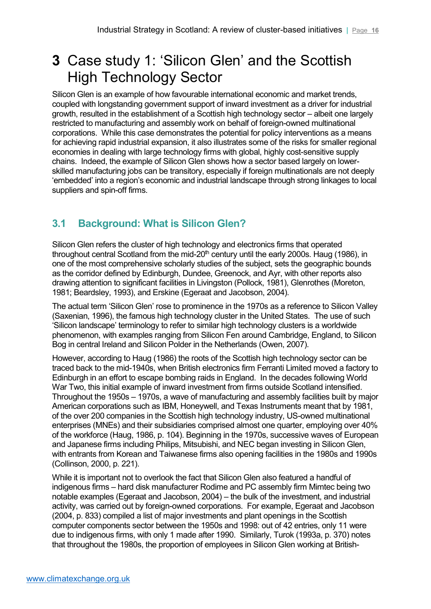# <span id="page-15-0"></span>**3** Case study 1: 'Silicon Glen' and the Scottish High Technology Sector

Silicon Glen is an example of how favourable international economic and market trends, coupled with longstanding government support of inward investment as a driver for industrial growth, resulted in the establishment of a Scottish high technology sector – albeit one largely restricted to manufacturing and assembly work on behalf of foreign-owned multinational corporations. While this case demonstrates the potential for policy interventions as a means for achieving rapid industrial expansion, it also illustrates some of the risks for smaller regional economies in dealing with large technology firms with global, highly cost-sensitive supply chains. Indeed, the example of Silicon Glen shows how a sector based largely on lowerskilled manufacturing jobs can be transitory, especially if foreign multinationals are not deeply 'embedded' into a region's economic and industrial landscape through strong linkages to local suppliers and spin-off firms.

# <span id="page-15-1"></span>**3.1 Background: What is Silicon Glen?**

Silicon Glen refers the cluster of high technology and electronics firms that operated throughout central Scotland from the mid-20<sup>th</sup> century until the early 2000s. Haug (1986), in one of the most comprehensive scholarly studies of the subject, sets the geographic bounds as the corridor defined by Edinburgh, Dundee, Greenock, and Ayr, with other reports also drawing attention to significant facilities in Livingston (Pollock, 1981), Glenrothes (Moreton, 1981; Beardsley, 1993), and Erskine (Egeraat and Jacobson, 2004).

The actual term 'Silicon Glen' rose to prominence in the 1970s as a reference to Silicon Valley (Saxenian, 1996), the famous high technology cluster in the United States. The use of such 'Silicon landscape' terminology to refer to similar high technology clusters is a worldwide phenomenon, with examples ranging from Silicon Fen around Cambridge, England, to Silicon Bog in central Ireland and Silicon Polder in the Netherlands (Owen, 2007).

However, according to Haug (1986) the roots of the Scottish high technology sector can be traced back to the mid-1940s, when British electronics firm Ferranti Limited moved a factory to Edinburgh in an effort to escape bombing raids in England. In the decades following World War Two, this initial example of inward investment from firms outside Scotland intensified. Throughout the 1950s – 1970s, a wave of manufacturing and assembly facilities built by major American corporations such as IBM, Honeywell, and Texas Instruments meant that by 1981, of the over 200 companies in the Scottish high technology industry, US-owned multinational enterprises (MNEs) and their subsidiaries comprised almost one quarter, employing over 40% of the workforce (Haug, 1986, p. 104). Beginning in the 1970s, successive waves of European and Japanese firms including Philips, Mitsubishi, and NEC began investing in Silicon Glen, with entrants from Korean and Taiwanese firms also opening facilities in the 1980s and 1990s (Collinson, 2000, p. 221).

While it is important not to overlook the fact that Silicon Glen also featured a handful of indigenous firms – hard disk manufacturer Rodime and PC assembly firm Mimtec being two notable examples (Egeraat and Jacobson, 2004) – the bulk of the investment, and industrial activity, was carried out by foreign-owned corporations. For example, Egeraat and Jacobson (2004, p. 833) compiled a list of major investments and plant openings in the Scottish computer components sector between the 1950s and 1998: out of 42 entries, only 11 were due to indigenous firms, with only 1 made after 1990. Similarly, Turok (1993a, p. 370) notes that throughout the 1980s, the proportion of employees in Silicon Glen working at British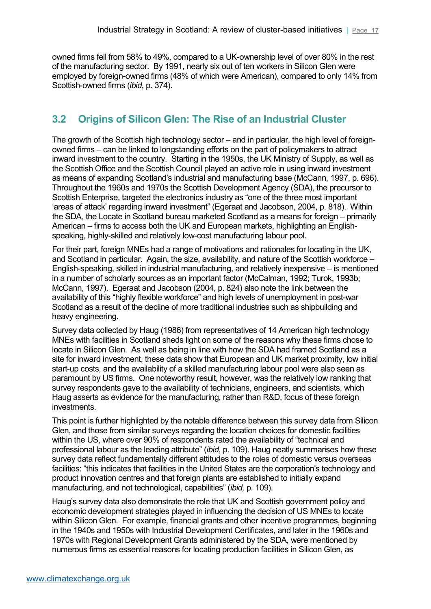owned firms fell from 58% to 49%, compared to a UK-ownership level of over 80% in the rest of the manufacturing sector. By 1991, nearly six out of ten workers in Silicon Glen were employed by foreign-owned firms (48% of which were American), compared to only 14% from Scottish-owned firms (*ibid*, p. 374).

## <span id="page-16-0"></span>**3.2 Origins of Silicon Glen: The Rise of an Industrial Cluster**

The growth of the Scottish high technology sector – and in particular, the high level of foreignowned firms – can be linked to longstanding efforts on the part of policymakers to attract inward investment to the country. Starting in the 1950s, the UK Ministry of Supply, as well as the Scottish Office and the Scottish Council played an active role in using inward investment as means of expanding Scotland's industrial and manufacturing base (McCann, 1997, p. 696). Throughout the 1960s and 1970s the Scottish Development Agency (SDA), the precursor to Scottish Enterprise, targeted the electronics industry as "one of the three most important 'areas of attack' regarding inward investment" (Egeraat and Jacobson, 2004, p. 818). Within the SDA, the Locate in Scotland bureau marketed Scotland as a means for foreign – primarily American – firms to access both the UK and European markets, highlighting an Englishspeaking, highly-skilled and relatively low-cost manufacturing labour pool.

For their part, foreign MNEs had a range of motivations and rationales for locating in the UK, and Scotland in particular. Again, the size, availability, and nature of the Scottish workforce – English-speaking, skilled in industrial manufacturing, and relatively inexpensive – is mentioned in a number of scholarly sources as an important factor (McCalman, 1992; Turok, 1993b; McCann, 1997). Egeraat and Jacobson (2004, p. 824) also note the link between the availability of this "highly flexible workforce" and high levels of unemployment in post-war Scotland as a result of the decline of more traditional industries such as shipbuilding and heavy engineering.

Survey data collected by Haug (1986) from representatives of 14 American high technology MNEs with facilities in Scotland sheds light on some of the reasons why these firms chose to locate in Silicon Glen. As well as being in line with how the SDA had framed Scotland as a site for inward investment, these data show that European and UK market proximity, low initial start-up costs, and the availability of a skilled manufacturing labour pool were also seen as paramount by US firms. One noteworthy result, however, was the relatively low ranking that survey respondents gave to the availability of technicians, engineers, and scientists, which Haug asserts as evidence for the manufacturing, rather than R&D, focus of these foreign investments.

This point is further highlighted by the notable difference between this survey data from Silicon Glen, and those from similar surveys regarding the location choices for domestic facilities within the US, where over 90% of respondents rated the availability of "technical and professional labour as the leading attribute" (*ibid*, p. 109). Haug neatly summarises how these survey data reflect fundamentally different attitudes to the roles of domestic versus overseas facilities: "this indicates that facilities in the United States are the corporation's technology and product innovation centres and that foreign plants are established to initially expand manufacturing, and not technological, capabilities" (*ibid,* p. 109).

Haug's survey data also demonstrate the role that UK and Scottish government policy and economic development strategies played in influencing the decision of US MNEs to locate within Silicon Glen. For example, financial grants and other incentive programmes, beginning in the 1940s and 1950s with Industrial Development Certificates, and later in the 1960s and 1970s with Regional Development Grants administered by the SDA, were mentioned by numerous firms as essential reasons for locating production facilities in Silicon Glen, as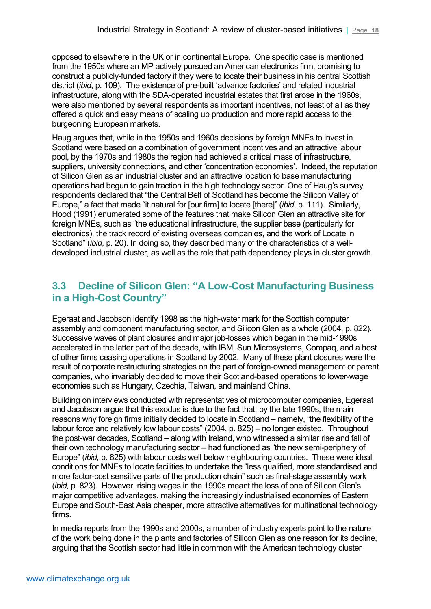opposed to elsewhere in the UK or in continental Europe. One specific case is mentioned from the 1950s where an MP actively pursued an American electronics firm, promising to construct a publicly-funded factory if they were to locate their business in his central Scottish district (*ibid*, p. 109). The existence of pre-built 'advance factories' and related industrial infrastructure, along with the SDA-operated industrial estates that first arose in the 1960s, were also mentioned by several respondents as important incentives, not least of all as they offered a quick and easy means of scaling up production and more rapid access to the burgeoning European markets.

Haug argues that, while in the 1950s and 1960s decisions by foreign MNEs to invest in Scotland were based on a combination of government incentives and an attractive labour pool, by the 1970s and 1980s the region had achieved a critical mass of infrastructure, suppliers, university connections, and other 'concentration economies'. Indeed, the reputation of Silicon Glen as an industrial cluster and an attractive location to base manufacturing operations had begun to gain traction in the high technology sector. One of Haug's survey respondents declared that "the Central Belt of Scotland has become the Silicon Valley of Europe," a fact that made "it natural for [our firm] to locate [there]" (*ibid*, p. 111). Similarly, Hood (1991) enumerated some of the features that make Silicon Glen an attractive site for foreign MNEs, such as "the educational infrastructure, the supplier base (particularly for electronics), the track record of existing overseas companies, and the work of Locate in Scotland" (*ibid*, p. 20). In doing so, they described many of the characteristics of a welldeveloped industrial cluster, as well as the role that path dependency plays in cluster growth.

## <span id="page-17-0"></span>**3.3 Decline of Silicon Glen: "A Low-Cost Manufacturing Business in a High-Cost Country"**

Egeraat and Jacobson identify 1998 as the high-water mark for the Scottish computer assembly and component manufacturing sector, and Silicon Glen as a whole (2004, p. 822). Successive waves of plant closures and major job-losses which began in the mid-1990s accelerated in the latter part of the decade, with IBM, Sun Microsystems, Compaq, and a host of other firms ceasing operations in Scotland by 2002. Many of these plant closures were the result of corporate restructuring strategies on the part of foreign-owned management or parent companies, who invariably decided to move their Scotland-based operations to lower-wage economies such as Hungary, Czechia, Taiwan, and mainland China.

Building on interviews conducted with representatives of microcomputer companies, Egeraat and Jacobson argue that this exodus is due to the fact that, by the late 1990s, the main reasons why foreign firms initially decided to locate in Scotland – namely, "the flexibility of the labour force and relatively low labour costs" (2004, p. 825) – no longer existed. Throughout the post-war decades, Scotland – along with Ireland, who witnessed a similar rise and fall of their own technology manufacturing sector – had functioned as "the new semi-periphery of Europe" (*ibid,* p. 825) with labour costs well below neighbouring countries. These were ideal conditions for MNEs to locate facilities to undertake the "less qualified, more standardised and more factor-cost sensitive parts of the production chain" such as final-stage assembly work (*ibid,* p. 823). However, rising wages in the 1990s meant the loss of one of Silicon Glen's major competitive advantages, making the increasingly industrialised economies of Eastern Europe and South-East Asia cheaper, more attractive alternatives for multinational technology firms.

In media reports from the 1990s and 2000s, a number of industry experts point to the nature of the work being done in the plants and factories of Silicon Glen as one reason for its decline, arguing that the Scottish sector had little in common with the American technology cluster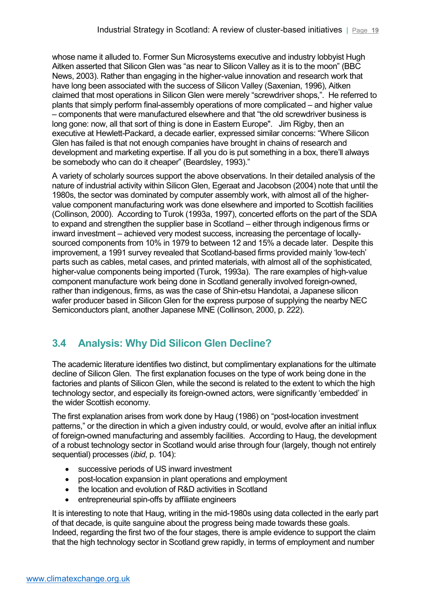whose name it alluded to. Former Sun Microsystems executive and industry lobbyist Hugh Aitken asserted that Silicon Glen was "as near to Silicon Valley as it is to the moon" (BBC News, 2003). Rather than engaging in the higher-value innovation and research work that have long been associated with the success of Silicon Valley (Saxenian, 1996), Aitken claimed that most operations in Silicon Glen were merely "screwdriver shops,". He referred to plants that simply perform final-assembly operations of more complicated – and higher value – components that were manufactured elsewhere and that "the old screwdriver business is long gone: now, all that sort of thing is done in Eastern Europe". Jim Rigby, then an executive at Hewlett-Packard, a decade earlier, expressed similar concerns: "Where Silicon Glen has failed is that not enough companies have brought in chains of research and development and marketing expertise. If all you do is put something in a box, there'll always be somebody who can do it cheaper" (Beardsley, 1993)."

A variety of scholarly sources support the above observations. In their detailed analysis of the nature of industrial activity within Silicon Glen, Egeraat and Jacobson (2004) note that until the 1980s, the sector was dominated by computer assembly work, with almost all of the highervalue component manufacturing work was done elsewhere and imported to Scottish facilities (Collinson, 2000). According to Turok (1993a, 1997), concerted efforts on the part of the SDA to expand and strengthen the supplier base in Scotland – either through indigenous firms or inward investment – achieved very modest success, increasing the percentage of locallysourced components from 10% in 1979 to between 12 and 15% a decade later. Despite this improvement, a 1991 survey revealed that Scotland-based firms provided mainly 'low-tech' parts such as cables, metal cases, and printed materials, with almost all of the sophisticated, higher-value components being imported (Turok, 1993a). The rare examples of high-value component manufacture work being done in Scotland generally involved foreign-owned, rather than indigenous, firms, as was the case of Shin-etsu Handotai, a Japanese silicon wafer producer based in Silicon Glen for the express purpose of supplying the nearby NEC Semiconductors plant, another Japanese MNE (Collinson, 2000, p. 222).

# <span id="page-18-0"></span>**3.4 Analysis: Why Did Silicon Glen Decline?**

The academic literature identifies two distinct, but complimentary explanations for the ultimate decline of Silicon Glen. The first explanation focuses on the type of work being done in the factories and plants of Silicon Glen, while the second is related to the extent to which the high technology sector, and especially its foreign-owned actors, were significantly 'embedded' in the wider Scottish economy.

The first explanation arises from work done by Haug (1986) on "post-location investment patterns," or the direction in which a given industry could, or would, evolve after an initial influx of foreign-owned manufacturing and assembly facilities. According to Haug, the development of a robust technology sector in Scotland would arise through four (largely, though not entirely sequential) processes (*ibid*, p. 104):

- successive periods of US inward investment
- post-location expansion in plant operations and employment
- the location and evolution of R&D activities in Scotland
- entrepreneurial spin-offs by affiliate engineers

It is interesting to note that Haug, writing in the mid-1980s using data collected in the early part of that decade, is quite sanguine about the progress being made towards these goals. Indeed, regarding the first two of the four stages, there is ample evidence to support the claim that the high technology sector in Scotland grew rapidly, in terms of employment and number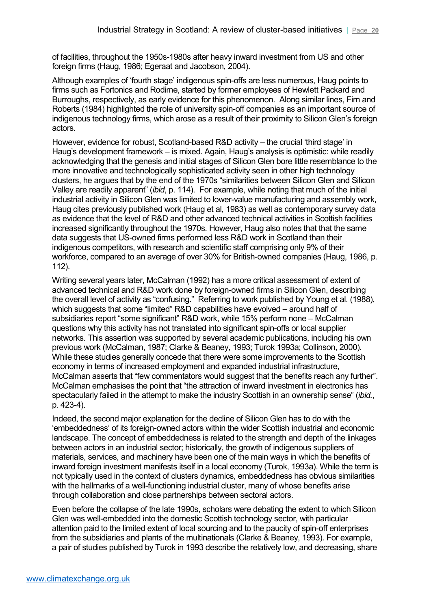of facilities, throughout the 1950s-1980s after heavy inward investment from US and other foreign firms (Haug, 1986; Egeraat and Jacobson, 2004).

Although examples of 'fourth stage' indigenous spin-offs are less numerous, Haug points to firms such as Fortonics and Rodime, started by former employees of Hewlett Packard and Burroughs, respectively, as early evidence for this phenomenon. Along similar lines, Firn and Roberts (1984) highlighted the role of university spin-off companies as an important source of indigenous technology firms, which arose as a result of their proximity to Silicon Glen's foreign actors.

However, evidence for robust, Scotland-based R&D activity – the crucial 'third stage' in Haug's development framework – is mixed. Again, Haug's analysis is optimistic: while readily acknowledging that the genesis and initial stages of Silicon Glen bore little resemblance to the more innovative and technologically sophisticated activity seen in other high technology clusters, he argues that by the end of the 1970s "similarities between Silicon Glen and Silicon Valley are readily apparent" (*ibid*, p. 114). For example, while noting that much of the initial industrial activity in Silicon Glen was limited to lower-value manufacturing and assembly work, Haug cites previously published work (Haug et al, 1983) as well as contemporary survey data as evidence that the level of R&D and other advanced technical activities in Scottish facilities increased significantly throughout the 1970s. However, Haug also notes that that the same data suggests that US-owned firms performed less R&D work in Scotland than their indigenous competitors, with research and scientific staff comprising only 9% of their workforce, compared to an average of over 30% for British-owned companies (Haug, 1986, p. 112).

Writing several years later, McCalman (1992) has a more critical assessment of extent of advanced technical and R&D work done by foreign-owned firms in Silicon Glen, describing the overall level of activity as "confusing." Referring to work published by Young et al. (1988), which suggests that some "limited" R&D capabilities have evolved – around half of subsidiaries report "some significant" R&D work, while 15% perform none – McCalman questions why this activity has not translated into significant spin-offs or local supplier networks. This assertion was supported by several academic publications, including his own previous work (McCalman, 1987; Clarke & Beaney, 1993; Turok 1993a; Collinson, 2000). While these studies generally concede that there were some improvements to the Scottish economy in terms of increased employment and expanded industrial infrastructure, McCalman asserts that "few commentators would suggest that the benefits reach any further". McCalman emphasises the point that "the attraction of inward investment in electronics has spectacularly failed in the attempt to make the industry Scottish in an ownership sense" (*ibid.*, p. 423-4).

Indeed, the second major explanation for the decline of Silicon Glen has to do with the 'embeddedness' of its foreign-owned actors within the wider Scottish industrial and economic landscape. The concept of embeddedness is related to the strength and depth of the linkages between actors in an industrial sector; historically, the growth of indigenous suppliers of materials, services, and machinery have been one of the main ways in which the benefits of inward foreign investment manifests itself in a local economy (Turok, 1993a). While the term is not typically used in the context of clusters dynamics, embeddedness has obvious similarities with the hallmarks of a well-functioning industrial cluster, many of whose benefits arise through collaboration and close partnerships between sectoral actors.

Even before the collapse of the late 1990s, scholars were debating the extent to which Silicon Glen was well-embedded into the domestic Scottish technology sector, with particular attention paid to the limited extent of local sourcing and to the paucity of spin-off enterprises from the subsidiaries and plants of the multinationals (Clarke & Beaney, 1993). For example, a pair of studies published by Turok in 1993 describe the relatively low, and decreasing, share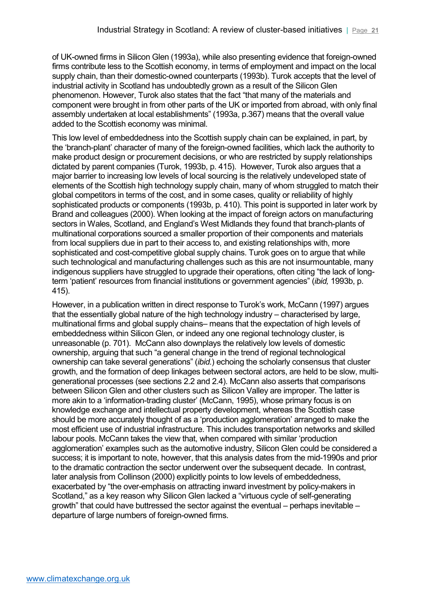of UK-owned firms in Silicon Glen (1993a), while also presenting evidence that foreign-owned firms contribute less to the Scottish economy, in terms of employment and impact on the local supply chain, than their domestic-owned counterparts (1993b). Turok accepts that the level of industrial activity in Scotland has undoubtedly grown as a result of the Silicon Glen phenomenon. However, Turok also states that the fact "that many of the materials and component were brought in from other parts of the UK or imported from abroad, with only final assembly undertaken at local establishments" (1993a, p.367) means that the overall value added to the Scottish economy was minimal.

This low level of embeddedness into the Scottish supply chain can be explained, in part, by the 'branch-plant' character of many of the foreign-owned facilities, which lack the authority to make product design or procurement decisions, or who are restricted by supply relationships dictated by parent companies (Turok, 1993b, p. 415). However, Turok also argues that a major barrier to increasing low levels of local sourcing is the relatively undeveloped state of elements of the Scottish high technology supply chain, many of whom struggled to match their global competitors in terms of the cost, and in some cases, quality or reliability of highly sophisticated products or components (1993b, p. 410). This point is supported in later work by Brand and colleagues (2000). When looking at the impact of foreign actors on manufacturing sectors in Wales, Scotland, and England's West Midlands they found that branch-plants of multinational corporations sourced a smaller proportion of their components and materials from local suppliers due in part to their access to, and existing relationships with, more sophisticated and cost-competitive global supply chains. Turok goes on to argue that while such technological and manufacturing challenges such as this are not insurmountable, many indigenous suppliers have struggled to upgrade their operations, often citing "the lack of longterm 'patient' resources from financial institutions or government agencies" (*ibid,* 1993b, p. 415).

However, in a publication written in direct response to Turok's work, McCann (1997) argues that the essentially global nature of the high technology industry – characterised by large, multinational firms and global supply chains– means that the expectation of high levels of embeddedness within Silicon Glen, or indeed any one regional technology cluster, is unreasonable (p. 701). McCann also downplays the relatively low levels of domestic ownership, arguing that such "a general change in the trend of regional technological ownership can take several generations" (*ibid.*) echoing the scholarly consensus that cluster growth, and the formation of deep linkages between sectoral actors, are held to be slow, multigenerational processes (see sections 2.2 and 2.4). McCann also asserts that comparisons between Silicon Glen and other clusters such as Silicon Valley are improper. The latter is more akin to a 'information-trading cluster' (McCann, 1995), whose primary focus is on knowledge exchange and intellectual property development, whereas the Scottish case should be more accurately thought of as a 'production agglomeration' arranged to make the most efficient use of industrial infrastructure. This includes transportation networks and skilled labour pools. McCann takes the view that, when compared with similar 'production agglomeration' examples such as the automotive industry, Silicon Glen could be considered a success; it is important to note, however, that this analysis dates from the mid-1990s and prior to the dramatic contraction the sector underwent over the subsequent decade. In contrast, later analysis from Collinson (2000) explicitly points to low levels of embeddedness, exacerbated by "the over-emphasis on attracting inward investment by policy-makers in Scotland," as a key reason why Silicon Glen lacked a "virtuous cycle of self-generating growth" that could have buttressed the sector against the eventual – perhaps inevitable – departure of large numbers of foreign-owned firms.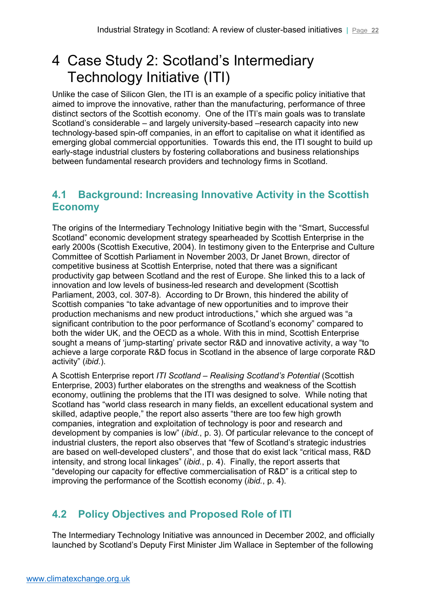# <span id="page-21-0"></span>4 Case Study 2: Scotland's Intermediary Technology Initiative (ITI)

Unlike the case of Silicon Glen, the ITI is an example of a specific policy initiative that aimed to improve the innovative, rather than the manufacturing, performance of three distinct sectors of the Scottish economy. One of the ITI's main goals was to translate Scotland's considerable – and largely university-based –research capacity into new technology-based spin-off companies, in an effort to capitalise on what it identified as emerging global commercial opportunities. Towards this end, the ITI sought to build up early-stage industrial clusters by fostering collaborations and business relationships between fundamental research providers and technology firms in Scotland.

## <span id="page-21-1"></span>**4.1 Background: Increasing Innovative Activity in the Scottish Economy**

The origins of the Intermediary Technology Initiative begin with the "Smart, Successful Scotland" economic development strategy spearheaded by Scottish Enterprise in the early 2000s (Scottish Executive, 2004). In testimony given to the Enterprise and Culture Committee of Scottish Parliament in November 2003, Dr Janet Brown, director of competitive business at Scottish Enterprise, noted that there was a significant productivity gap between Scotland and the rest of Europe. She linked this to a lack of innovation and low levels of business-led research and development (Scottish Parliament, 2003, col. 307-8). According to Dr Brown, this hindered the ability of Scottish companies "to take advantage of new opportunities and to improve their production mechanisms and new product introductions," which she argued was "a significant contribution to the poor performance of Scotland's economy" compared to both the wider UK, and the OECD as a whole. With this in mind, Scottish Enterprise sought a means of 'jump-starting' private sector R&D and innovative activity, a way "to achieve a large corporate R&D focus in Scotland in the absence of large corporate R&D activity" (*ibid*.).

A Scottish Enterprise report *ITI Scotland – Realising Scotland's Potential* (Scottish Enterprise, 2003) further elaborates on the strengths and weakness of the Scottish economy, outlining the problems that the ITI was designed to solve. While noting that Scotland has "world class research in many fields, an excellent educational system and skilled, adaptive people," the report also asserts "there are too few high growth companies, integration and exploitation of technology is poor and research and development by companies is low" (*ibid.*, p. 3). Of particular relevance to the concept of industrial clusters, the report also observes that "few of Scotland's strategic industries are based on well-developed clusters", and those that do exist lack "critical mass, R&D intensity, and strong local linkages" (*ibid.*, p. 4). Finally, the report asserts that "developing our capacity for effective commercialisation of R&D" is a critical step to improving the performance of the Scottish economy (*ibid.*, p. 4).

# <span id="page-21-2"></span>**4.2 Policy Objectives and Proposed Role of ITI**

The Intermediary Technology Initiative was announced in December 2002, and officially launched by Scotland's Deputy First Minister Jim Wallace in September of the following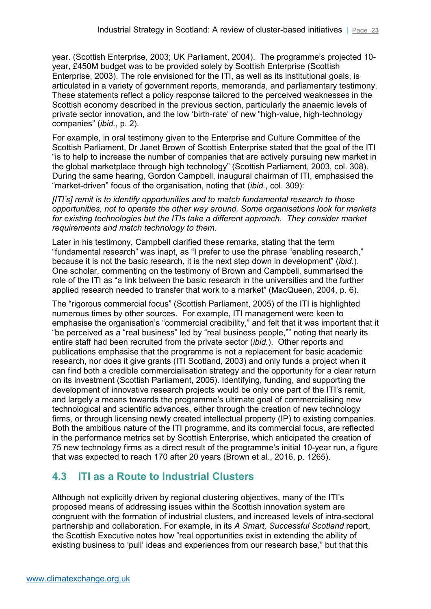year. (Scottish Enterprise, 2003; UK Parliament, 2004). The programme's projected 10 year, £450M budget was to be provided solely by Scottish Enterprise (Scottish Enterprise, 2003). The role envisioned for the ITI, as well as its institutional goals, is articulated in a variety of government reports, memoranda, and parliamentary testimony. These statements reflect a policy response tailored to the perceived weaknesses in the Scottish economy described in the previous section, particularly the anaemic levels of private sector innovation, and the low 'birth-rate' of new "high-value, high-technology companies" (*ibid.*, p. 2).

For example, in oral testimony given to the Enterprise and Culture Committee of the Scottish Parliament, Dr Janet Brown of Scottish Enterprise stated that the goal of the ITI "is to help to increase the number of companies that are actively pursuing new market in the global marketplace through high technology" (Scottish Parliament, 2003, col. 308). During the same hearing, Gordon Campbell, inaugural chairman of ITI, emphasised the "market-driven" focus of the organisation, noting that (*ibid.*, col. 309):

*[ITI's] remit is to identify opportunities and to match fundamental research to those opportunities, not to operate the other way around. Some organisations look for markets for existing technologies but the ITIs take a different approach. They consider market requirements and match technology to them.* 

Later in his testimony, Campbell clarified these remarks, stating that the term "fundamental research" was inapt, as "I prefer to use the phrase "enabling research," because it is not the basic research, it is the next step down in development" (*ibid.*). One scholar, commenting on the testimony of Brown and Campbell, summarised the role of the ITI as "a link between the basic research in the universities and the further applied research needed to transfer that work to a market" (MacQueen, 2004, p. 6).

The "rigorous commercial focus" (Scottish Parliament, 2005) of the ITI is highlighted numerous times by other sources. For example, ITI management were keen to emphasise the organisation's "commercial credibility," and felt that it was important that it "be perceived as a "real business" led by "real business people,"" noting that nearly its entire staff had been recruited from the private sector (*ibid.*). Other reports and publications emphasise that the programme is not a replacement for basic academic research, nor does it give grants (ITI Scotland, 2003) and only funds a project when it can find both a credible commercialisation strategy and the opportunity for a clear return on its investment (Scottish Parliament, 2005). Identifying, funding, and supporting the development of innovative research projects would be only one part of the ITI's remit, and largely a means towards the programme's ultimate goal of commercialising new technological and scientific advances, either through the creation of new technology firms, or through licensing newly created intellectual property (IP) to existing companies. Both the ambitious nature of the ITI programme, and its commercial focus, are reflected in the performance metrics set by Scottish Enterprise, which anticipated the creation of 75 new technology firms as a direct result of the programme's initial 10-year run, a figure that was expected to reach 170 after 20 years (Brown et al., 2016, p. 1265).

## <span id="page-22-0"></span>**4.3 ITI as a Route to Industrial Clusters**

Although not explicitly driven by regional clustering objectives, many of the ITI's proposed means of addressing issues within the Scottish innovation system are congruent with the formation of industrial clusters, and increased levels of intra-sectoral partnership and collaboration. For example, in its *A Smart, Successful Scotland* report, the Scottish Executive notes how "real opportunities exist in extending the ability of existing business to 'pull' ideas and experiences from our research base," but that this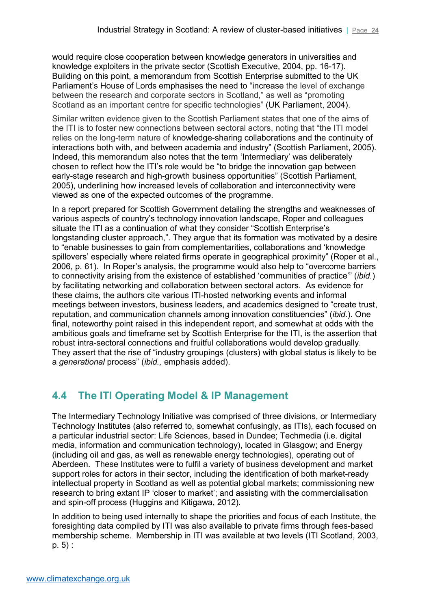would require close cooperation between knowledge generators in universities and knowledge exploiters in the private sector (Scottish Executive, 2004, pp. 16-17). Building on this point, a memorandum from Scottish Enterprise submitted to the UK Parliament's House of Lords emphasises the need to "increase the level of exchange between the research and corporate sectors in Scotland," as well as "promoting Scotland as an important centre for specific technologies" (UK Parliament, 2004).

Similar written evidence given to the Scottish Parliament states that one of the aims of the ITI is to foster new connections between sectoral actors, noting that "the ITI model relies on the long-term nature of knowledge-sharing collaborations and the continuity of interactions both with, and between academia and industry" (Scottish Parliament, 2005). Indeed, this memorandum also notes that the term 'Intermediary' was deliberately chosen to reflect how the ITI's role would be "to bridge the innovation gap between early-stage research and high-growth business opportunities" (Scottish Parliament, 2005), underlining how increased levels of collaboration and interconnectivity were viewed as one of the expected outcomes of the programme.

In a report prepared for Scottish Government detailing the strengths and weaknesses of various aspects of country's technology innovation landscape, Roper and colleagues situate the ITI as a continuation of what they consider "Scottish Enterprise's longstanding cluster approach,". They argue that its formation was motivated by a desire to "enable businesses to gain from complementarities, collaborations and 'knowledge spillovers' especially where related firms operate in geographical proximity" (Roper et al., 2006, p. 61). In Roper's analysis, the programme would also help to "overcome barriers to connectivity arising from the existence of established 'communities of practice'" (*ibid.*) by facilitating networking and collaboration between sectoral actors. As evidence for these claims, the authors cite various ITI-hosted networking events and informal meetings between investors, business leaders, and academics designed to "create trust, reputation, and communication channels among innovation constituencies" (*ibid.*). One final, noteworthy point raised in this independent report, and somewhat at odds with the ambitious goals and timeframe set by Scottish Enterprise for the ITI, is the assertion that robust intra-sectoral connections and fruitful collaborations would develop gradually. They assert that the rise of "industry groupings (clusters) with global status is likely to be a *generational* process" (*ibid.,* emphasis added).

# <span id="page-23-0"></span>**4.4 The ITI Operating Model & IP Management**

The Intermediary Technology Initiative was comprised of three divisions, or Intermediary Technology Institutes (also referred to, somewhat confusingly, as ITIs), each focused on a particular industrial sector: Life Sciences, based in Dundee; Techmedia (i.e. digital media, information and communication technology), located in Glasgow; and Energy (including oil and gas, as well as renewable energy technologies), operating out of Aberdeen. These Institutes were to fulfil a variety of business development and market support roles for actors in their sector, including the identification of both market-ready intellectual property in Scotland as well as potential global markets; commissioning new research to bring extant IP 'closer to market'; and assisting with the commercialisation and spin-off process (Huggins and Kitigawa, 2012).

In addition to being used internally to shape the priorities and focus of each Institute, the foresighting data compiled by ITI was also available to private firms through fees-based membership scheme. Membership in ITI was available at two levels (ITI Scotland, 2003, p. 5) :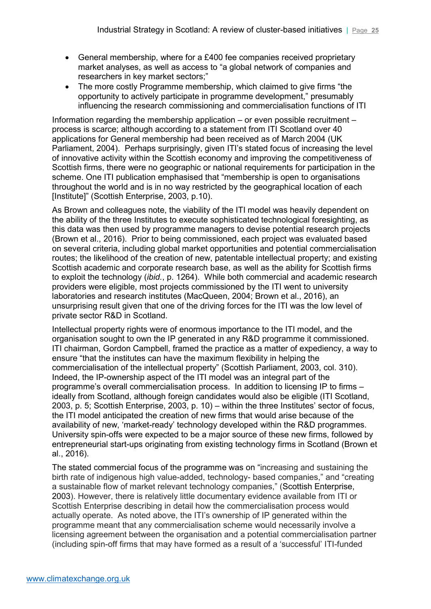- General membership, where for a £400 fee companies received proprietary market analyses, as well as access to "a global network of companies and researchers in key market sectors;"
- The more costly Programme membership, which claimed to give firms "the opportunity to actively participate in programme development," presumably influencing the research commissioning and commercialisation functions of ITI

Information regarding the membership application – or even possible recruitment – process is scarce; although according to a statement from ITI Scotland over 40 applications for General membership had been received as of March 2004 (UK Parliament, 2004). Perhaps surprisingly, given ITI's stated focus of increasing the level of innovative activity within the Scottish economy and improving the competitiveness of Scottish firms, there were no geographic or national requirements for participation in the scheme. One ITI publication emphasised that "membership is open to organisations throughout the world and is in no way restricted by the geographical location of each [Institute]" (Scottish Enterprise, 2003, p.10).

As Brown and colleagues note, the viability of the ITI model was heavily dependent on the ability of the three Institutes to execute sophisticated technological foresighting, as this data was then used by programme managers to devise potential research projects (Brown et al., 2016). Prior to being commissioned, each project was evaluated based on several criteria, including global market opportunities and potential commercialisation routes; the likelihood of the creation of new, patentable intellectual property; and existing Scottish academic and corporate research base, as well as the ability for Scottish firms to exploit the technology (*ibid.*, p. 1264). While both commercial and academic research providers were eligible, most projects commissioned by the ITI went to university laboratories and research institutes (MacQueen, 2004; Brown et al., 2016), an unsurprising result given that one of the driving forces for the ITI was the low level of private sector R&D in Scotland.

Intellectual property rights were of enormous importance to the ITI model, and the organisation sought to own the IP generated in any R&D programme it commissioned. ITI chairman, Gordon Campbell, framed the practice as a matter of expediency, a way to ensure "that the institutes can have the maximum flexibility in helping the commercialisation of the intellectual property" (Scottish Parliament, 2003, col. 310). Indeed, the IP-ownership aspect of the ITI model was an integral part of the programme's overall commercialisation process. In addition to licensing IP to firms – ideally from Scotland, although foreign candidates would also be eligible (ITI Scotland, 2003, p. 5; Scottish Enterprise, 2003, p. 10) – within the three Institutes' sector of focus, the ITI model anticipated the creation of new firms that would arise because of the availability of new, 'market-ready' technology developed within the R&D programmes. University spin-offs were expected to be a major source of these new firms, followed by entrepreneurial start-ups originating from existing technology firms in Scotland (Brown et al., 2016).

The stated commercial focus of the programme was on "increasing and sustaining the birth rate of indigenous high value-added, technology- based companies," and "creating a sustainable flow of market relevant technology companies," (Scottish Enterprise, 2003). However, there is relatively little documentary evidence available from ITI or Scottish Enterprise describing in detail how the commercialisation process would actually operate. As noted above, the ITI's ownership of IP generated within the programme meant that any commercialisation scheme would necessarily involve a licensing agreement between the organisation and a potential commercialisation partner (including spin-off firms that may have formed as a result of a 'successful' ITI-funded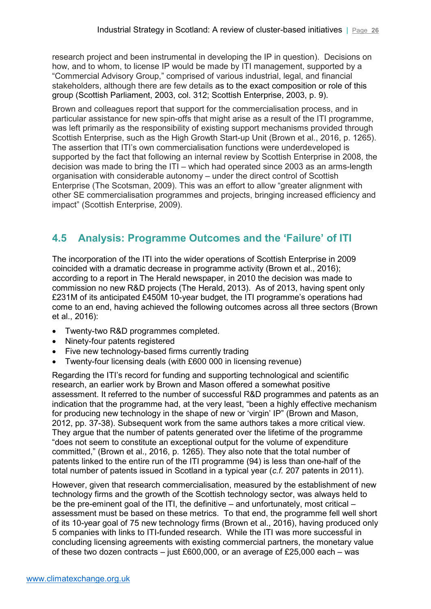research project and been instrumental in developing the IP in question). Decisions on how, and to whom, to license IP would be made by ITI management, supported by a "Commercial Advisory Group," comprised of various industrial, legal, and financial stakeholders, although there are few details as to the exact composition or role of this group (Scottish Parliament, 2003, col. 312; Scottish Enterprise, 2003, p. 9).

Brown and colleagues report that support for the commercialisation process, and in particular assistance for new spin-offs that might arise as a result of the ITI programme, was left primarily as the responsibility of existing support mechanisms provided through Scottish Enterprise, such as the High Growth Start-up Unit (Brown et al., 2016, p. 1265). The assertion that ITI's own commercialisation functions were underdeveloped is supported by the fact that following an internal review by Scottish Enterprise in 2008, the decision was made to bring the ITI – which had operated since 2003 as an arms-length organisation with considerable autonomy – under the direct control of Scottish Enterprise (The Scotsman, 2009). This was an effort to allow "greater alignment with other SE commercialisation programmes and projects, bringing increased efficiency and impact" (Scottish Enterprise, 2009).

## <span id="page-25-0"></span>**4.5 Analysis: Programme Outcomes and the 'Failure' of ITI**

The incorporation of the ITI into the wider operations of Scottish Enterprise in 2009 coincided with a dramatic decrease in programme activity (Brown et al., 2016); according to a report in The Herald newspaper, in 2010 the decision was made to commission no new R&D projects (The Herald, 2013). As of 2013, having spent only £231M of its anticipated £450M 10-year budget, the ITI programme's operations had come to an end, having achieved the following outcomes across all three sectors (Brown et al., 2016):

- Twenty-two R&D programmes completed.
- Ninety-four patents registered
- Five new technology-based firms currently trading
- Twenty-four licensing deals (with £600 000 in licensing revenue)

Regarding the ITI's record for funding and supporting technological and scientific research, an earlier work by Brown and Mason offered a somewhat positive assessment. It referred to the number of successful R&D programmes and patents as an indication that the programme had, at the very least, "been a highly effective mechanism for producing new technology in the shape of new or 'virgin' IP" (Brown and Mason, 2012, pp. 37-38). Subsequent work from the same authors takes a more critical view. They argue that the number of patents generated over the lifetime of the programme "does not seem to constitute an exceptional output for the volume of expenditure committed," (Brown et al., 2016, p. 1265). They also note that the total number of patents linked to the entire run of the ITI programme (94) is less than one-half of the total number of patents issued in Scotland in a typical year (*c.f.* 207 patents in 2011).

However, given that research commercialisation, measured by the establishment of new technology firms and the growth of the Scottish technology sector, was always held to be the pre-eminent goal of the ITI, the definitive – and unfortunately, most critical – assessment must be based on these metrics. To that end, the programme fell well short of its 10-year goal of 75 new technology firms (Brown et al., 2016), having produced only 5 companies with links to ITI-funded research. While the ITI was more successful in concluding licensing agreements with existing commercial partners, the monetary value of these two dozen contracts – just £600,000, or an average of £25,000 each – was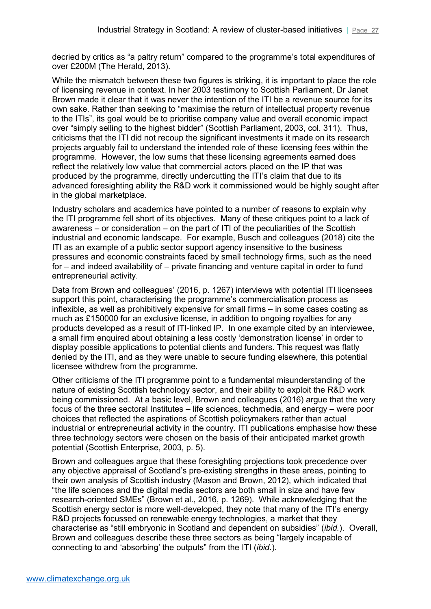decried by critics as "a paltry return" compared to the programme's total expenditures of over £200M (The Herald, 2013).

While the mismatch between these two figures is striking, it is important to place the role of licensing revenue in context. In her 2003 testimony to Scottish Parliament, Dr Janet Brown made it clear that it was never the intention of the ITI be a revenue source for its own sake. Rather than seeking to "maximise the return of intellectual property revenue to the ITIs", its goal would be to prioritise company value and overall economic impact over "simply selling to the highest bidder" (Scottish Parliament, 2003, col. 311). Thus, criticisms that the ITI did not recoup the significant investments it made on its research projects arguably fail to understand the intended role of these licensing fees within the programme. However, the low sums that these licensing agreements earned does reflect the relatively low value that commercial actors placed on the IP that was produced by the programme, directly undercutting the ITI's claim that due to its advanced foresighting ability the R&D work it commissioned would be highly sought after in the global marketplace.

Industry scholars and academics have pointed to a number of reasons to explain why the ITI programme fell short of its objectives. Many of these critiques point to a lack of awareness – or consideration – on the part of ITI of the peculiarities of the Scottish industrial and economic landscape. For example, Busch and colleagues (2018) cite the ITI as an example of a public sector support agency insensitive to the business pressures and economic constraints faced by small technology firms, such as the need for – and indeed availability of – private financing and venture capital in order to fund entrepreneurial activity.

Data from Brown and colleagues' (2016, p. 1267) interviews with potential ITI licensees support this point, characterising the programme's commercialisation process as inflexible, as well as prohibitively expensive for small firms – in some cases costing as much as £150000 for an exclusive license, in addition to ongoing royalties for any products developed as a result of ITI-linked IP. In one example cited by an interviewee, a small firm enquired about obtaining a less costly 'demonstration license' in order to display possible applications to potential clients and funders. This request was flatly denied by the ITI, and as they were unable to secure funding elsewhere, this potential licensee withdrew from the programme.

Other criticisms of the ITI programme point to a fundamental misunderstanding of the nature of existing Scottish technology sector, and their ability to exploit the R&D work being commissioned. At a basic level, Brown and colleagues (2016) argue that the very focus of the three sectoral Institutes – life sciences, techmedia, and energy – were poor choices that reflected the aspirations of Scottish policymakers rather than actual industrial or entrepreneurial activity in the country. ITI publications emphasise how these three technology sectors were chosen on the basis of their anticipated market growth potential (Scottish Enterprise, 2003, p. 5).

Brown and colleagues argue that these foresighting projections took precedence over any objective appraisal of Scotland's pre-existing strengths in these areas, pointing to their own analysis of Scottish industry (Mason and Brown, 2012), which indicated that "the life sciences and the digital media sectors are both small in size and have few research-oriented SMEs" (Brown et al., 2016, p. 1269). While acknowledging that the Scottish energy sector is more well-developed, they note that many of the ITI's energy R&D projects focussed on renewable energy technologies, a market that they characterise as "still embryonic in Scotland and dependent on subsidies" (*ibid.*). Overall, Brown and colleagues describe these three sectors as being "largely incapable of connecting to and 'absorbing' the outputs" from the ITI (*ibid.*).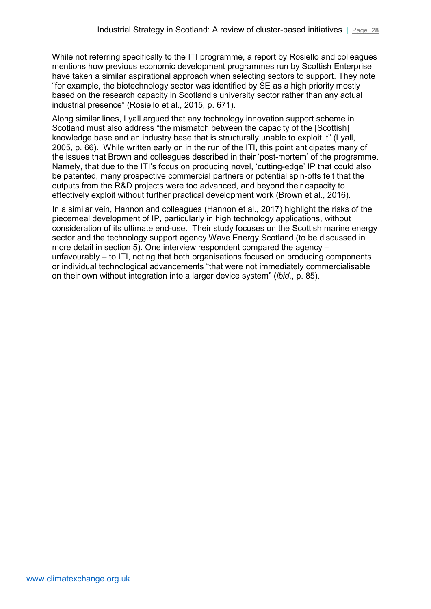While not referring specifically to the ITI programme, a report by Rosiello and colleagues mentions how previous economic development programmes run by Scottish Enterprise have taken a similar aspirational approach when selecting sectors to support. They note "for example, the biotechnology sector was identified by SE as a high priority mostly based on the research capacity in Scotland's university sector rather than any actual industrial presence" (Rosiello et al., 2015, p. 671).

Along similar lines, Lyall argued that any technology innovation support scheme in Scotland must also address "the mismatch between the capacity of the [Scottish] knowledge base and an industry base that is structurally unable to exploit it" (Lyall, 2005, p. 66). While written early on in the run of the ITI, this point anticipates many of the issues that Brown and colleagues described in their 'post-mortem' of the programme. Namely, that due to the ITI's focus on producing novel, 'cutting-edge' IP that could also be patented, many prospective commercial partners or potential spin-offs felt that the outputs from the R&D projects were too advanced, and beyond their capacity to effectively exploit without further practical development work (Brown et al., 2016).

In a similar vein, Hannon and colleagues (Hannon et al., 2017) highlight the risks of the piecemeal development of IP, particularly in high technology applications, without consideration of its ultimate end-use. Their study focuses on the Scottish marine energy sector and the technology support agency Wave Energy Scotland (to be discussed in more detail in section 5). One interview respondent compared the agency – unfavourably – to ITI, noting that both organisations focused on producing components or individual technological advancements "that were not immediately commercialisable on their own without integration into a larger device system" (*ibid.*, p. 85).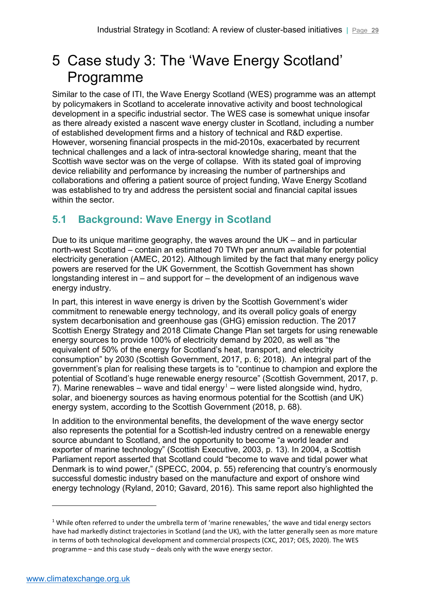# <span id="page-28-0"></span>5 Case study 3: The 'Wave Energy Scotland' Programme

Similar to the case of ITI, the Wave Energy Scotland (WES) programme was an attempt by policymakers in Scotland to accelerate innovative activity and boost technological development in a specific industrial sector. The WES case is somewhat unique insofar as there already existed a nascent wave energy cluster in Scotland, including a number of established development firms and a history of technical and R&D expertise. However, worsening financial prospects in the mid-2010s, exacerbated by recurrent technical challenges and a lack of intra-sectoral knowledge sharing, meant that the Scottish wave sector was on the verge of collapse. With its stated goal of improving device reliability and performance by increasing the number of partnerships and collaborations and offering a patient source of project funding, Wave Energy Scotland was established to try and address the persistent social and financial capital issues within the sector.

# <span id="page-28-1"></span>**5.1 Background: Wave Energy in Scotland**

Due to its unique maritime geography, the waves around the UK – and in particular north-west Scotland – contain an estimated 70 TWh per annum available for potential electricity generation (AMEC, 2012). Although limited by the fact that many energy policy powers are reserved for the UK Government, the Scottish Government has shown longstanding interest in – and support for – the development of an indigenous wave energy industry.

In part, this interest in wave energy is driven by the Scottish Government's wider commitment to renewable energy technology, and its overall policy goals of energy system decarbonisation and greenhouse gas (GHG) emission reduction. The 2017 Scottish Energy Strategy and 2018 Climate Change Plan set targets for using renewable energy sources to provide 100% of electricity demand by 2020, as well as "the equivalent of 50% of the energy for Scotland's heat, transport, and electricity consumption" by 2030 (Scottish Government, 2017, p. 6; 2018). An integral part of the government's plan for realising these targets is to "continue to champion and explore the potential of Scotland's huge renewable energy resource" (Scottish Government, 2017, p. 7). Marine renewables – wave and tidal energy<sup>[1](#page-28-2)</sup> – were listed alongside wind, hydro, solar, and bioenergy sources as having enormous potential for the Scottish (and UK) energy system, according to the Scottish Government (2018, p. 68).

In addition to the environmental benefits, the development of the wave energy sector also represents the potential for a Scottish-led industry centred on a renewable energy source abundant to Scotland, and the opportunity to become "a world leader and exporter of marine technology" (Scottish Executive, 2003, p. 13). In 2004, a Scottish Parliament report asserted that Scotland could "become to wave and tidal power what Denmark is to wind power," (SPECC, 2004, p. 55) referencing that country's enormously successful domestic industry based on the manufacture and export of onshore wind energy technology (Ryland, 2010; Gavard, 2016). This same report also highlighted the

-

<span id="page-28-2"></span> $1$  While often referred to under the umbrella term of 'marine renewables,' the wave and tidal energy sectors have had markedly distinct trajectories in Scotland (and the UK), with the latter generally seen as more mature in terms of both technological development and commercial prospects (CXC, 2017; OES, 2020). The WES programme – and this case study – deals only with the wave energy sector.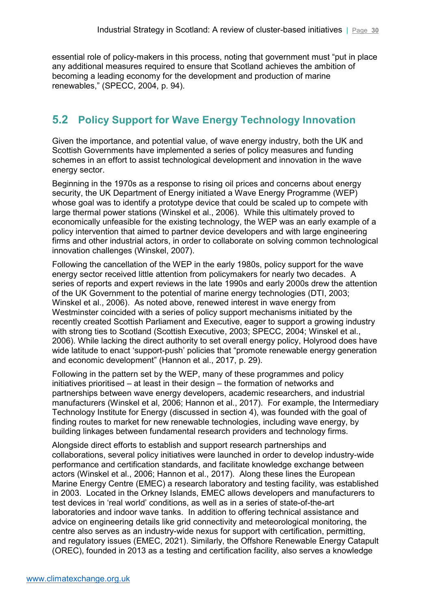essential role of policy-makers in this process, noting that government must "put in place any additional measures required to ensure that Scotland achieves the ambition of becoming a leading economy for the development and production of marine renewables," (SPECC, 2004, p. 94).

# <span id="page-29-0"></span>**5.2 Policy Support for Wave Energy Technology Innovation**

Given the importance, and potential value, of wave energy industry, both the UK and Scottish Governments have implemented a series of policy measures and funding schemes in an effort to assist technological development and innovation in the wave energy sector.

Beginning in the 1970s as a response to rising oil prices and concerns about energy security, the UK Department of Energy initiated a Wave Energy Programme (WEP) whose goal was to identify a prototype device that could be scaled up to compete with large thermal power stations (Winskel et al., 2006). While this ultimately proved to economically unfeasible for the existing technology, the WEP was an early example of a policy intervention that aimed to partner device developers and with large engineering firms and other industrial actors, in order to collaborate on solving common technological innovation challenges (Winskel, 2007).

Following the cancellation of the WEP in the early 1980s, policy support for the wave energy sector received little attention from policymakers for nearly two decades. A series of reports and expert reviews in the late 1990s and early 2000s drew the attention of the UK Government to the potential of marine energy technologies (DTI, 2003; Winskel et al., 2006). As noted above, renewed interest in wave energy from Westminster coincided with a series of policy support mechanisms initiated by the recently created Scottish Parliament and Executive, eager to support a growing industry with strong ties to Scotland (Scottish Executive, 2003; SPECC, 2004; Winskel et al., 2006). While lacking the direct authority to set overall energy policy, Holyrood does have wide latitude to enact 'support-push' policies that "promote renewable energy generation and economic development" (Hannon et al., 2017, p. 29).

Following in the pattern set by the WEP, many of these programmes and policy initiatives prioritised – at least in their design – the formation of networks and partnerships between wave energy developers, academic researchers, and industrial manufacturers (Winskel et al, 2006; Hannon et al., 2017). For example, the Intermediary Technology Institute for Energy (discussed in section 4), was founded with the goal of finding routes to market for new renewable technologies, including wave energy, by building linkages between fundamental research providers and technology firms.

Alongside direct efforts to establish and support research partnerships and collaborations, several policy initiatives were launched in order to develop industry-wide performance and certification standards, and facilitate knowledge exchange between actors (Winskel et al., 2006; Hannon et al., 2017). Along these lines the European Marine Energy Centre (EMEC) a research laboratory and testing facility, was established in 2003. Located in the Orkney Islands, EMEC allows developers and manufacturers to test devices in 'real world' conditions, as well as in a series of state-of-the-art laboratories and indoor wave tanks. In addition to offering technical assistance and advice on engineering details like grid connectivity and meteorological monitoring, the centre also serves as an industry-wide nexus for support with certification, permitting, and regulatory issues (EMEC, 2021). Similarly, the Offshore Renewable Energy Catapult (OREC), founded in 2013 as a testing and certification facility, also serves a knowledge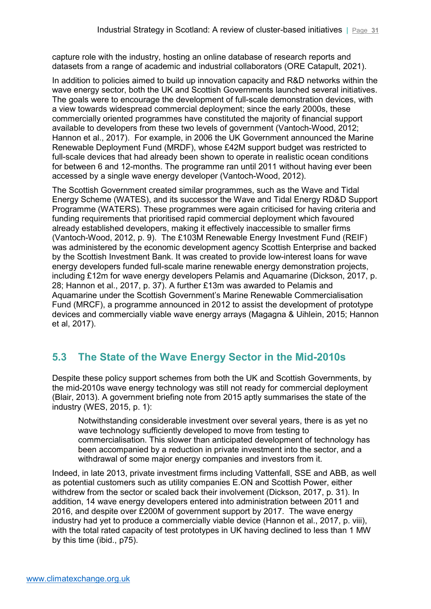capture role with the industry, hosting an online database of research reports and datasets from a range of academic and industrial collaborators (ORE Catapult, 2021).

In addition to policies aimed to build up innovation capacity and R&D networks within the wave energy sector, both the UK and Scottish Governments launched several initiatives. The goals were to encourage the development of full-scale demonstration devices, with a view towards widespread commercial deployment; since the early 2000s, these commercially oriented programmes have constituted the majority of financial support available to developers from these two levels of government (Vantoch-Wood, 2012; Hannon et al., 2017). For example, in 2006 the UK Government announced the Marine Renewable Deployment Fund (MRDF), whose £42M support budget was restricted to full-scale devices that had already been shown to operate in realistic ocean conditions for between 6 and 12-months. The programme ran until 2011 without having ever been accessed by a single wave energy developer (Vantoch-Wood, 2012).

The Scottish Government created similar programmes, such as the Wave and Tidal Energy Scheme (WATES), and its successor the Wave and Tidal Energy RD&D Support Programme (WATERS). These programmes were again criticised for having criteria and funding requirements that prioritised rapid commercial deployment which favoured already established developers, making it effectively inaccessible to smaller firms (Vantoch-Wood, 2012, p. 9). The £103M Renewable Energy Investment Fund (REIF) was administered by the economic development agency Scottish Enterprise and backed by the Scottish Investment Bank. It was created to provide low-interest loans for wave energy developers funded full-scale marine renewable energy demonstration projects, including £12m for wave energy developers Pelamis and Aquamarine (Dickson, 2017, p. 28; Hannon et al., 2017, p. 37). A further £13m was awarded to Pelamis and Aquamarine under the Scottish Government's Marine Renewable Commercialisation Fund (MRCF), a programme announced in 2012 to assist the development of prototype devices and commercially viable wave energy arrays (Magagna & Uihlein, 2015; Hannon et al, 2017).

# <span id="page-30-0"></span>**5.3 The State of the Wave Energy Sector in the Mid-2010s**

Despite these policy support schemes from both the UK and Scottish Governments, by the mid-2010s wave energy technology was still not ready for commercial deployment (Blair, 2013). A government briefing note from 2015 aptly summarises the state of the industry (WES, 2015, p. 1):

Notwithstanding considerable investment over several years, there is as yet no wave technology sufficiently developed to move from testing to commercialisation. This slower than anticipated development of technology has been accompanied by a reduction in private investment into the sector, and a withdrawal of some major energy companies and investors from it.

Indeed, in late 2013, private investment firms including Vattenfall, SSE and ABB, as well as potential customers such as utility companies E.ON and Scottish Power, either withdrew from the sector or scaled back their involvement (Dickson, 2017, p. 31). In addition, 14 wave energy developers entered into administration between 2011 and 2016, and despite over £200M of government support by 2017. The wave energy industry had yet to produce a commercially viable device (Hannon et al., 2017, p. viii), with the total rated capacity of test prototypes in UK having declined to less than 1 MW by this time (ibid., p75).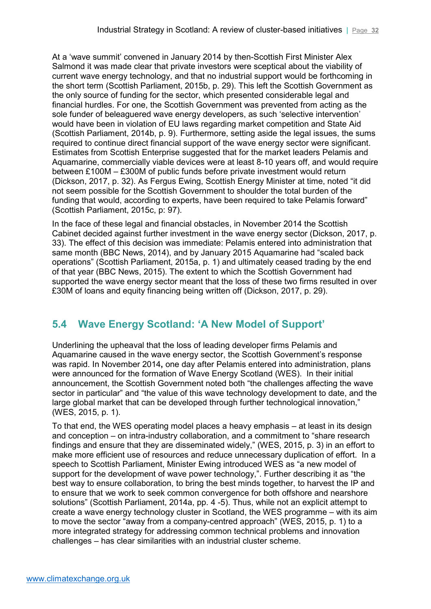At a 'wave summit' convened in January 2014 by then-Scottish First Minister Alex Salmond it was made clear that private investors were sceptical about the viability of current wave energy technology, and that no industrial support would be forthcoming in the short term (Scottish Parliament, 2015b, p. 29). This left the Scottish Government as the only source of funding for the sector, which presented considerable legal and financial hurdles. For one, the Scottish Government was prevented from acting as the sole funder of beleaguered wave energy developers, as such 'selective intervention' would have been in violation of EU laws regarding market competition and State Aid (Scottish Parliament, 2014b, p. 9). Furthermore, setting aside the legal issues, the sums required to continue direct financial support of the wave energy sector were significant. Estimates from Scottish Enterprise suggested that for the market leaders Pelamis and Aquamarine, commercially viable devices were at least 8-10 years off, and would require between £100M – £300M of public funds before private investment would return (Dickson, 2017, p. 32). As Fergus Ewing, Scottish Energy Minister at time, noted "it did not seem possible for the Scottish Government to shoulder the total burden of the funding that would, according to experts, have been required to take Pelamis forward" (Scottish Parliament, 2015c, p: 97).

In the face of these legal and financial obstacles, in November 2014 the Scottish Cabinet decided against further investment in the wave energy sector (Dickson, 2017, p. 33). The effect of this decision was immediate: Pelamis entered into administration that same month (BBC News, 2014), and by January 2015 Aquamarine had "scaled back operations" (Scottish Parliament, 2015a, p. 1) and ultimately ceased trading by the end of that year (BBC News, 2015). The extent to which the Scottish Government had supported the wave energy sector meant that the loss of these two firms resulted in over £30M of loans and equity financing being written off (Dickson, 2017, p. 29).

# <span id="page-31-0"></span>**5.4 Wave Energy Scotland: 'A New Model of Support'**

Underlining the upheaval that the loss of leading developer firms Pelamis and Aquamarine caused in the wave energy sector, the Scottish Government's response was rapid. In November 2014**,** one day after Pelamis entered into administration, plans were announced for the formation of Wave Energy Scotland (WES). In their initial announcement, the Scottish Government noted both "the challenges affecting the wave sector in particular" and "the value of this wave technology development to date, and the large global market that can be developed through further technological innovation," (WES, 2015, p. 1).

To that end, the WES operating model places a heavy emphasis – at least in its design and conception – on intra-industry collaboration, and a commitment to "share research findings and ensure that they are disseminated widely," (WES, 2015, p. 3) in an effort to make more efficient use of resources and reduce unnecessary duplication of effort. In a speech to Scottish Parliament, Minister Ewing introduced WES as "a new model of support for the development of wave power technology,". Further describing it as "the best way to ensure collaboration, to bring the best minds together, to harvest the IP and to ensure that we work to seek common convergence for both offshore and nearshore solutions" (Scottish Parliament, 2014a, pp. 4 -5). Thus, while not an explicit attempt to create a wave energy technology cluster in Scotland, the WES programme – with its aim to move the sector "away from a company-centred approach" (WES, 2015, p. 1) to a more integrated strategy for addressing common technical problems and innovation challenges – has clear similarities with an industrial cluster scheme.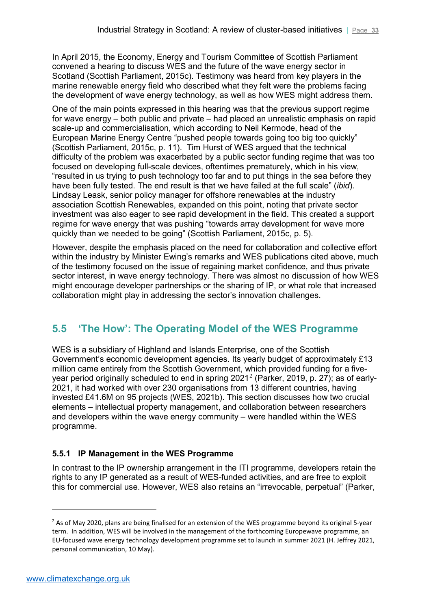In April 2015, the Economy, Energy and Tourism Committee of Scottish Parliament convened a hearing to discuss WES and the future of the wave energy sector in Scotland (Scottish Parliament, 2015c). Testimony was heard from key players in the marine renewable energy field who described what they felt were the problems facing the development of wave energy technology, as well as how WES might address them.

One of the main points expressed in this hearing was that the previous support regime for wave energy – both public and private – had placed an unrealistic emphasis on rapid scale-up and commercialisation, which according to Neil Kermode, head of the European Marine Energy Centre "pushed people towards going too big too quickly" (Scottish Parliament, 2015c, p. 11). Tim Hurst of WES argued that the technical difficulty of the problem was exacerbated by a public sector funding regime that was too focused on developing full-scale devices, oftentimes prematurely, which in his view, "resulted in us trying to push technology too far and to put things in the sea before they have been fully tested. The end result is that we have failed at the full scale" (*ibid*). Lindsay Leask, senior policy manager for offshore renewables at the industry association Scottish Renewables, expanded on this point, noting that private sector investment was also eager to see rapid development in the field. This created a support regime for wave energy that was pushing "towards array development for wave more quickly than we needed to be going" (Scottish Parliament, 2015c, p. 5).

However, despite the emphasis placed on the need for collaboration and collective effort within the industry by Minister Ewing's remarks and WES publications cited above, much of the testimony focused on the issue of regaining market confidence, and thus private sector interest, in wave energy technology. There was almost no discussion of how WES might encourage developer partnerships or the sharing of IP, or what role that increased collaboration might play in addressing the sector's innovation challenges.

### <span id="page-32-0"></span>**5.5 'The How': The Operating Model of the WES Programme**

WES is a subsidiary of Highland and Islands Enterprise, one of the Scottish Government's economic development agencies. Its yearly budget of approximately £13 million came entirely from the Scottish Government, which provided funding for a five-year period originally scheduled to end in spring [2](#page-32-2)021<sup>2</sup> (Parker, 2019, p. 27); as of early-2021, it had worked with over 230 organisations from 13 different countries, having invested £41.6M on 95 projects (WES, 2021b). This section discusses how two crucial elements – intellectual property management, and collaboration between researchers and developers within the wave energy community – were handled within the WES programme.

### <span id="page-32-1"></span>**5.5.1 IP Management in the WES Programme**

In contrast to the IP ownership arrangement in the ITI programme, developers retain the rights to any IP generated as a result of WES-funded activities, and are free to exploit this for commercial use. However, WES also retains an "irrevocable, perpetual" (Parker,

-

<span id="page-32-2"></span><sup>&</sup>lt;sup>2</sup> As of May 2020, plans are being finalised for an extension of the WES programme beyond its original 5-year term. In addition, WES will be involved in the management of the forthcoming Europewave programme, an EU-focused wave energy technology development programme set to launch in summer 2021 (H. Jeffrey 2021, personal communication, 10 May).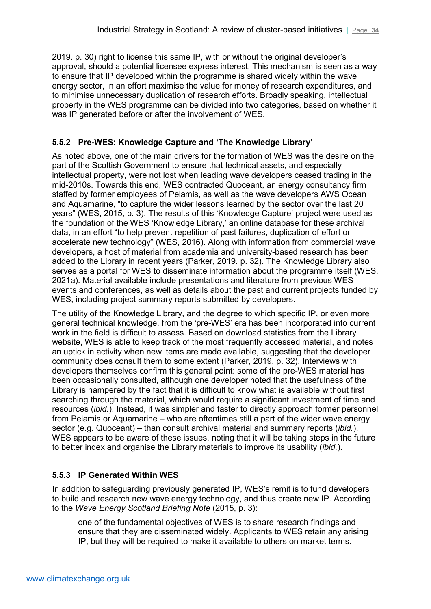2019. p. 30) right to license this same IP, with or without the original developer's approval, should a potential licensee express interest. This mechanism is seen as a way to ensure that IP developed within the programme is shared widely within the wave energy sector, in an effort maximise the value for money of research expenditures, and to minimise unnecessary duplication of research efforts. Broadly speaking, intellectual property in the WES programme can be divided into two categories, based on whether it was IP generated before or after the involvement of WES.

### <span id="page-33-0"></span>**5.5.2 Pre-WES: Knowledge Capture and 'The Knowledge Library'**

As noted above, one of the main drivers for the formation of WES was the desire on the part of the Scottish Government to ensure that technical assets, and especially intellectual property, were not lost when leading wave developers ceased trading in the mid-2010s. Towards this end, WES contracted Quoceant, an energy consultancy firm staffed by former employees of Pelamis, as well as the wave developers AWS Ocean and Aquamarine, "to capture the wider lessons learned by the sector over the last 20 years" (WES, 2015, p. 3). The results of this 'Knowledge Capture' project were used as the foundation of the WES 'Knowledge Library,' an online database for these archival data, in an effort "to help prevent repetition of past failures, duplication of effort or accelerate new technology" (WES, 2016). Along with information from commercial wave developers, a host of material from academia and university-based research has been added to the Library in recent years (Parker, 2019. p. 32). The Knowledge Library also serves as a portal for WES to disseminate information about the programme itself (WES, 2021a). Material available include presentations and literature from previous WES events and conferences, as well as details about the past and current projects funded by WES, including project summary reports submitted by developers.

The utility of the Knowledge Library, and the degree to which specific IP, or even more general technical knowledge, from the 'pre-WES' era has been incorporated into current work in the field is difficult to assess. Based on download statistics from the Library website, WES is able to keep track of the most frequently accessed material, and notes an uptick in activity when new items are made available, suggesting that the developer community does consult them to some extent (Parker, 2019. p. 32). Interviews with developers themselves confirm this general point: some of the pre-WES material has been occasionally consulted, although one developer noted that the usefulness of the Library is hampered by the fact that it is difficult to know what is available without first searching through the material, which would require a significant investment of time and resources (*ibid.*). Instead, it was simpler and faster to directly approach former personnel from Pelamis or Aquamarine – who are oftentimes still a part of the wider wave energy sector (e.g. Quoceant) – than consult archival material and summary reports (*ibid.*). WES appears to be aware of these issues, noting that it will be taking steps in the future to better index and organise the Library materials to improve its usability (*ibid.*).

### <span id="page-33-1"></span>**5.5.3 IP Generated Within WES**

In addition to safeguarding previously generated IP, WES's remit is to fund developers to build and research new wave energy technology, and thus create new IP. According to the *Wave Energy Scotland Briefing Note* (2015, p. 3):

one of the fundamental objectives of WES is to share research findings and ensure that they are disseminated widely. Applicants to WES retain any arising IP, but they will be required to make it available to others on market terms.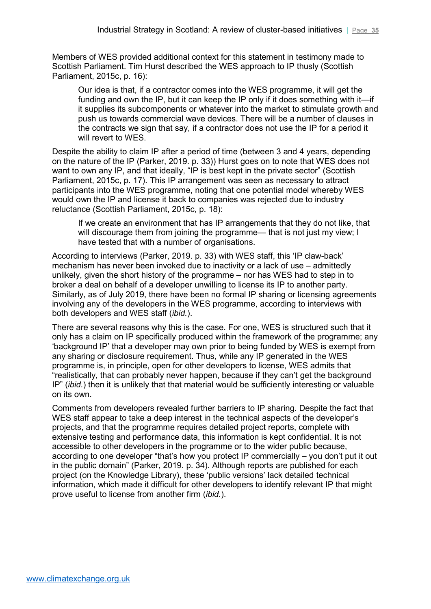Members of WES provided additional context for this statement in testimony made to Scottish Parliament. Tim Hurst described the WES approach to IP thusly (Scottish Parliament, 2015c, p. 16):

Our idea is that, if a contractor comes into the WES programme, it will get the funding and own the IP, but it can keep the IP only if it does something with it—if it supplies its subcomponents or whatever into the market to stimulate growth and push us towards commercial wave devices. There will be a number of clauses in the contracts we sign that say, if a contractor does not use the IP for a period it will revert to WES.

Despite the ability to claim IP after a period of time (between 3 and 4 years, depending on the nature of the IP (Parker, 2019. p. 33)) Hurst goes on to note that WES does not want to own any IP, and that ideally, "IP is best kept in the private sector" (Scottish Parliament, 2015c, p. 17). This IP arrangement was seen as necessary to attract participants into the WES programme, noting that one potential model whereby WES would own the IP and license it back to companies was rejected due to industry reluctance (Scottish Parliament, 2015c, p. 18):

If we create an environment that has IP arrangements that they do not like, that will discourage them from joining the programme— that is not just my view; I have tested that with a number of organisations.

According to interviews (Parker, 2019. p. 33) with WES staff, this 'IP claw-back' mechanism has never been invoked due to inactivity or a lack of use – admittedly unlikely, given the short history of the programme – nor has WES had to step in to broker a deal on behalf of a developer unwilling to license its IP to another party. Similarly, as of July 2019, there have been no formal IP sharing or licensing agreements involving any of the developers in the WES programme, according to interviews with both developers and WES staff (*ibid.*).

There are several reasons why this is the case. For one, WES is structured such that it only has a claim on IP specifically produced within the framework of the programme; any 'background IP' that a developer may own prior to being funded by WES is exempt from any sharing or disclosure requirement. Thus, while any IP generated in the WES programme is, in principle, open for other developers to license, WES admits that "realistically, that can probably never happen, because if they can't get the background IP" (*ibid.*) then it is unlikely that that material would be sufficiently interesting or valuable on its own.

Comments from developers revealed further barriers to IP sharing. Despite the fact that WES staff appear to take a deep interest in the technical aspects of the developer's projects, and that the programme requires detailed project reports, complete with extensive testing and performance data, this information is kept confidential. It is not accessible to other developers in the programme or to the wider public because, according to one developer "that's how you protect IP commercially – you don't put it out in the public domain" (Parker, 2019. p. 34). Although reports are published for each project (on the Knowledge Library), these 'public versions' lack detailed technical information, which made it difficult for other developers to identify relevant IP that might prove useful to license from another firm (*ibid.*).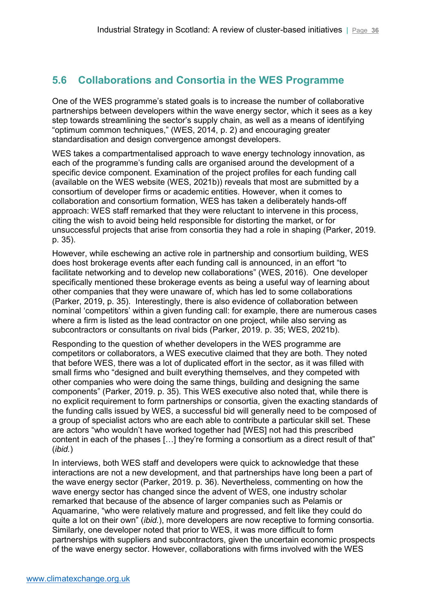## <span id="page-35-0"></span>**5.6 Collaborations and Consortia in the WES Programme**

One of the WES programme's stated goals is to increase the number of collaborative partnerships between developers within the wave energy sector, which it sees as a key step towards streamlining the sector's supply chain, as well as a means of identifying "optimum common techniques," (WES, 2014, p. 2) and encouraging greater standardisation and design convergence amongst developers.

WES takes a compartmentalised approach to wave energy technology innovation, as each of the programme's funding calls are organised around the development of a specific device component. Examination of the project profiles for each funding call (available on the WES website (WES, 2021b)) reveals that most are submitted by a consortium of developer firms or academic entities. However, when it comes to collaboration and consortium formation, WES has taken a deliberately hands-off approach: WES staff remarked that they were reluctant to intervene in this process, citing the wish to avoid being held responsible for distorting the market, or for unsuccessful projects that arise from consortia they had a role in shaping (Parker, 2019. p. 35).

However, while eschewing an active role in partnership and consortium building, WES does host brokerage events after each funding call is announced, in an effort "to facilitate networking and to develop new collaborations" (WES, 2016). One developer specifically mentioned these brokerage events as being a useful way of learning about other companies that they were unaware of, which has led to some collaborations (Parker, 2019, p. 35). Interestingly, there is also evidence of collaboration between nominal 'competitors' within a given funding call: for example, there are numerous cases where a firm is listed as the lead contractor on one project, while also serving as subcontractors or consultants on rival bids (Parker, 2019. p. 35; WES, 2021b).

Responding to the question of whether developers in the WES programme are competitors or collaborators, a WES executive claimed that they are both. They noted that before WES, there was a lot of duplicated effort in the sector, as it was filled with small firms who "designed and built everything themselves, and they competed with other companies who were doing the same things, building and designing the same components" (Parker, 2019. p. 35). This WES executive also noted that, while there is no explicit requirement to form partnerships or consortia, given the exacting standards of the funding calls issued by WES, a successful bid will generally need to be composed of a group of specialist actors who are each able to contribute a particular skill set. These are actors "who wouldn't have worked together had [WES] not had this prescribed content in each of the phases […] they're forming a consortium as a direct result of that" (*ibid.*)

In interviews, both WES staff and developers were quick to acknowledge that these interactions are not a new development, and that partnerships have long been a part of the wave energy sector (Parker, 2019. p. 36). Nevertheless, commenting on how the wave energy sector has changed since the advent of WES, one industry scholar remarked that because of the absence of larger companies such as Pelamis or Aquamarine, "who were relatively mature and progressed, and felt like they could do quite a lot on their own" (*ibid.*), more developers are now receptive to forming consortia. Similarly, one developer noted that prior to WES, it was more difficult to form partnerships with suppliers and subcontractors, given the uncertain economic prospects of the wave energy sector. However, collaborations with firms involved with the WES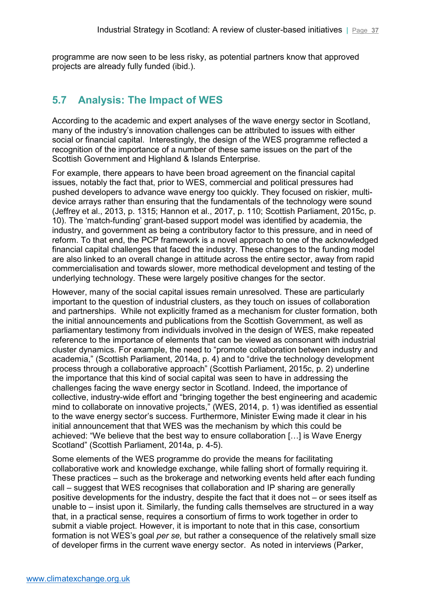programme are now seen to be less risky, as potential partners know that approved projects are already fully funded (ibid.).

### <span id="page-36-0"></span>**5.7 Analysis: The Impact of WES**

According to the academic and expert analyses of the wave energy sector in Scotland, many of the industry's innovation challenges can be attributed to issues with either social or financial capital. Interestingly, the design of the WES programme reflected a recognition of the importance of a number of these same issues on the part of the Scottish Government and Highland & Islands Enterprise.

For example, there appears to have been broad agreement on the financial capital issues, notably the fact that, prior to WES, commercial and political pressures had pushed developers to advance wave energy too quickly. They focused on riskier, multidevice arrays rather than ensuring that the fundamentals of the technology were sound (Jeffrey et al., 2013, p. 1315; Hannon et al., 2017, p. 110; Scottish Parliament, 2015c, p. 10). The 'match-funding' grant-based support model was identified by academia, the industry, and government as being a contributory factor to this pressure, and in need of reform. To that end, the PCP framework is a novel approach to one of the acknowledged financial capital challenges that faced the industry. These changes to the funding model are also linked to an overall change in attitude across the entire sector, away from rapid commercialisation and towards slower, more methodical development and testing of the underlying technology. These were largely positive changes for the sector.

However, many of the social capital issues remain unresolved. These are particularly important to the question of industrial clusters, as they touch on issues of collaboration and partnerships. While not explicitly framed as a mechanism for cluster formation, both the initial announcements and publications from the Scottish Government, as well as parliamentary testimony from individuals involved in the design of WES, make repeated reference to the importance of elements that can be viewed as consonant with industrial cluster dynamics. For example, the need to "promote collaboration between industry and academia," (Scottish Parliament, 2014a, p. 4) and to "drive the technology development process through a collaborative approach" (Scottish Parliament, 2015c, p. 2) underline the importance that this kind of social capital was seen to have in addressing the challenges facing the wave energy sector in Scotland. Indeed, the importance of collective, industry-wide effort and "bringing together the best engineering and academic mind to collaborate on innovative projects," (WES, 2014, p. 1) was identified as essential to the wave energy sector's success. Furthermore, Minister Ewing made it clear in his initial announcement that that WES was the mechanism by which this could be achieved: "We believe that the best way to ensure collaboration […] is Wave Energy Scotland" (Scottish Parliament, 2014a, p. 4-5).

Some elements of the WES programme do provide the means for facilitating collaborative work and knowledge exchange, while falling short of formally requiring it. These practices – such as the brokerage and networking events held after each funding call – suggest that WES recognises that collaboration and IP sharing are generally positive developments for the industry, despite the fact that it does not – or sees itself as unable to – insist upon it. Similarly, the funding calls themselves are structured in a way that, in a practical sense, requires a consortium of firms to work together in order to submit a viable project. However, it is important to note that in this case, consortium formation is not WES's goal *per se,* but rather a consequence of the relatively small size of developer firms in the current wave energy sector. As noted in interviews (Parker,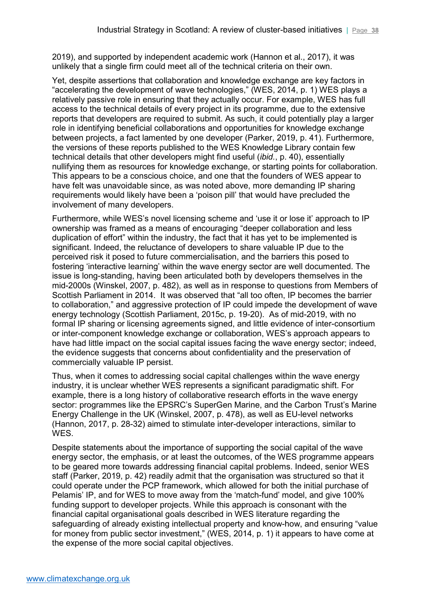2019), and supported by independent academic work (Hannon et al., 2017), it was unlikely that a single firm could meet all of the technical criteria on their own.

Yet, despite assertions that collaboration and knowledge exchange are key factors in "accelerating the development of wave technologies," (WES, 2014, p. 1) WES plays a relatively passive role in ensuring that they actually occur. For example, WES has full access to the technical details of every project in its programme, due to the extensive reports that developers are required to submit. As such, it could potentially play a larger role in identifying beneficial collaborations and opportunities for knowledge exchange between projects, a fact lamented by one developer (Parker, 2019, p. 41). Furthermore, the versions of these reports published to the WES Knowledge Library contain few technical details that other developers might find useful (*ibid.*, p. 40), essentially nullifying them as resources for knowledge exchange, or starting points for collaboration. This appears to be a conscious choice, and one that the founders of WES appear to have felt was unavoidable since, as was noted above, more demanding IP sharing requirements would likely have been a 'poison pill' that would have precluded the involvement of many developers.

Furthermore, while WES's novel licensing scheme and 'use it or lose it' approach to IP ownership was framed as a means of encouraging "deeper collaboration and less duplication of effort" within the industry, the fact that it has yet to be implemented is significant. Indeed, the reluctance of developers to share valuable IP due to the perceived risk it posed to future commercialisation, and the barriers this posed to fostering 'interactive learning' within the wave energy sector are well documented. The issue is long-standing, having been articulated both by developers themselves in the mid-2000s (Winskel, 2007, p. 482), as well as in response to questions from Members of Scottish Parliament in 2014. It was observed that "all too often, IP becomes the barrier to collaboration," and aggressive protection of IP could impede the development of wave energy technology (Scottish Parliament, 2015c, p. 19-20). As of mid-2019, with no formal IP sharing or licensing agreements signed, and little evidence of inter-consortium or inter-component knowledge exchange or collaboration, WES's approach appears to have had little impact on the social capital issues facing the wave energy sector; indeed, the evidence suggests that concerns about confidentiality and the preservation of commercially valuable IP persist.

Thus, when it comes to addressing social capital challenges within the wave energy industry, it is unclear whether WES represents a significant paradigmatic shift. For example, there is a long history of collaborative research efforts in the wave energy sector: programmes like the EPSRC's SuperGen Marine, and the Carbon Trust's Marine Energy Challenge in the UK (Winskel, 2007, p. 478), as well as EU-level networks (Hannon, 2017, p. 28-32) aimed to stimulate inter-developer interactions, similar to WES.

Despite statements about the importance of supporting the social capital of the wave energy sector, the emphasis, or at least the outcomes, of the WES programme appears to be geared more towards addressing financial capital problems. Indeed, senior WES staff (Parker, 2019, p. 42) readily admit that the organisation was structured so that it could operate under the PCP framework, which allowed for both the initial purchase of Pelamis' IP, and for WES to move away from the 'match-fund' model, and give 100% funding support to developer projects. While this approach is consonant with the financial capital organisational goals described in WES literature regarding the safeguarding of already existing intellectual property and know-how, and ensuring "value for money from public sector investment," (WES, 2014, p. 1) it appears to have come at the expense of the more social capital objectives.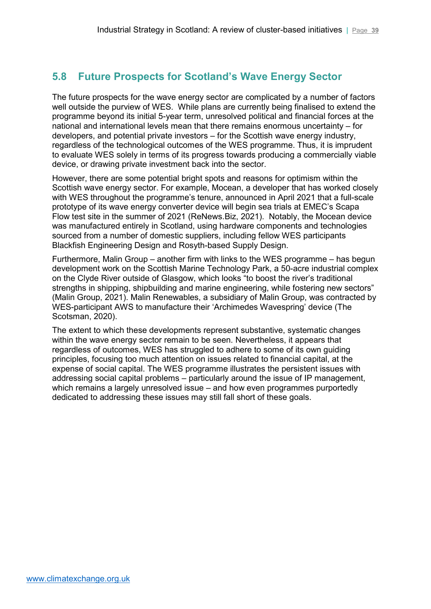### <span id="page-38-0"></span>**5.8 Future Prospects for Scotland's Wave Energy Sector**

The future prospects for the wave energy sector are complicated by a number of factors well outside the purview of WES. While plans are currently being finalised to extend the programme beyond its initial 5-year term, unresolved political and financial forces at the national and international levels mean that there remains enormous uncertainty – for developers, and potential private investors – for the Scottish wave energy industry, regardless of the technological outcomes of the WES programme. Thus, it is imprudent to evaluate WES solely in terms of its progress towards producing a commercially viable device, or drawing private investment back into the sector.

However, there are some potential bright spots and reasons for optimism within the Scottish wave energy sector. For example, Mocean, a developer that has worked closely with WES throughout the programme's tenure, announced in April 2021 that a full-scale prototype of its wave energy converter device will begin sea trials at EMEC's Scapa Flow test site in the summer of 2021 (ReNews.Biz, 2021). Notably, the Mocean device was manufactured entirely in Scotland, using hardware components and technologies sourced from a number of domestic suppliers, including fellow WES participants Blackfish Engineering Design and Rosyth-based Supply Design.

Furthermore, Malin Group – another firm with links to the WES programme – has begun development work on the Scottish Marine Technology Park, a 50-acre industrial complex on the Clyde River outside of Glasgow, which looks "to boost the river's traditional strengths in shipping, shipbuilding and marine engineering, while fostering new sectors" (Malin Group, 2021). Malin Renewables, a subsidiary of Malin Group, was contracted by WES-participant AWS to manufacture their 'Archimedes Wavespring' device (The Scotsman, 2020).

The extent to which these developments represent substantive, systematic changes within the wave energy sector remain to be seen. Nevertheless, it appears that regardless of outcomes, WES has struggled to adhere to some of its own guiding principles, focusing too much attention on issues related to financial capital, at the expense of social capital. The WES programme illustrates the persistent issues with addressing social capital problems – particularly around the issue of IP management, which remains a largely unresolved issue – and how even programmes purportedly dedicated to addressing these issues may still fall short of these goals.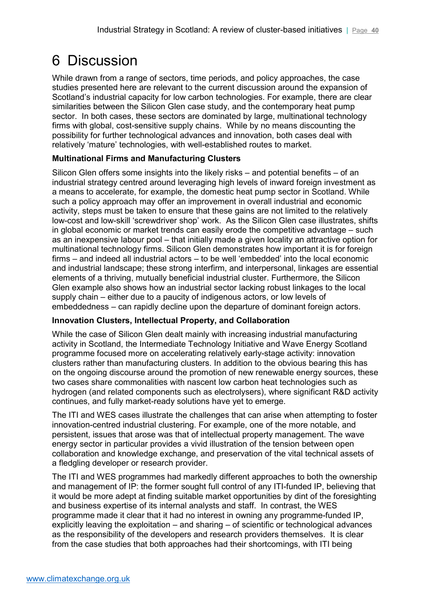# <span id="page-39-0"></span>6 Discussion

While drawn from a range of sectors, time periods, and policy approaches, the case studies presented here are relevant to the current discussion around the expansion of Scotland's industrial capacity for low carbon technologies. For example, there are clear similarities between the Silicon Glen case study, and the contemporary heat pump sector. In both cases, these sectors are dominated by large, multinational technology firms with global, cost-sensitive supply chains. While by no means discounting the possibility for further technological advances and innovation, both cases deal with relatively 'mature' technologies, with well-established routes to market.

### **Multinational Firms and Manufacturing Clusters**

Silicon Glen offers some insights into the likely risks – and potential benefits – of an industrial strategy centred around leveraging high levels of inward foreign investment as a means to accelerate, for example, the domestic heat pump sector in Scotland. While such a policy approach may offer an improvement in overall industrial and economic activity, steps must be taken to ensure that these gains are not limited to the relatively low-cost and low-skill 'screwdriver shop' work. As the Silicon Glen case illustrates, shifts in global economic or market trends can easily erode the competitive advantage – such as an inexpensive labour pool – that initially made a given locality an attractive option for multinational technology firms. Silicon Glen demonstrates how important it is for foreign firms – and indeed all industrial actors – to be well 'embedded' into the local economic and industrial landscape; these strong interfirm, and interpersonal, linkages are essential elements of a thriving, mutually beneficial industrial cluster. Furthermore, the Silicon Glen example also shows how an industrial sector lacking robust linkages to the local supply chain – either due to a paucity of indigenous actors, or low levels of embeddedness – can rapidly decline upon the departure of dominant foreign actors.

### **Innovation Clusters, Intellectual Property, and Collaboration**

While the case of Silicon Glen dealt mainly with increasing industrial manufacturing activity in Scotland, the Intermediate Technology Initiative and Wave Energy Scotland programme focused more on accelerating relatively early-stage activity: innovation clusters rather than manufacturing clusters. In addition to the obvious bearing this has on the ongoing discourse around the promotion of new renewable energy sources, these two cases share commonalities with nascent low carbon heat technologies such as hydrogen (and related components such as electrolysers), where significant R&D activity continues, and fully market-ready solutions have yet to emerge.

The ITI and WES cases illustrate the challenges that can arise when attempting to foster innovation-centred industrial clustering. For example, one of the more notable, and persistent, issues that arose was that of intellectual property management. The wave energy sector in particular provides a vivid illustration of the tension between open collaboration and knowledge exchange, and preservation of the vital technical assets of a fledgling developer or research provider.

The ITI and WES programmes had markedly different approaches to both the ownership and management of IP: the former sought full control of any ITI-funded IP, believing that it would be more adept at finding suitable market opportunities by dint of the foresighting and business expertise of its internal analysts and staff. In contrast, the WES programme made it clear that it had no interest in owning any programme-funded IP, explicitly leaving the exploitation – and sharing – of scientific or technological advances as the responsibility of the developers and research providers themselves. It is clear from the case studies that both approaches had their shortcomings, with ITI being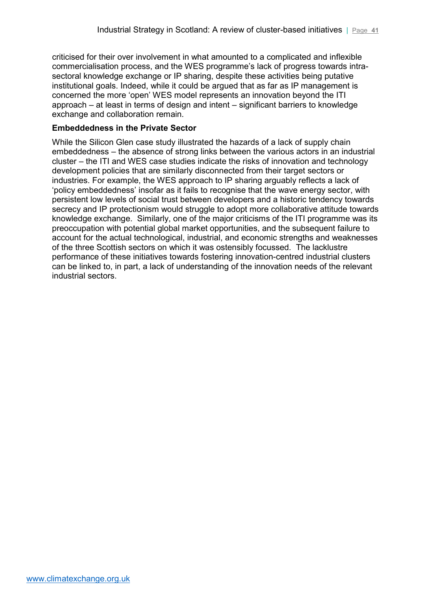criticised for their over involvement in what amounted to a complicated and inflexible commercialisation process, and the WES programme's lack of progress towards intrasectoral knowledge exchange or IP sharing, despite these activities being putative institutional goals. Indeed, while it could be argued that as far as IP management is concerned the more 'open' WES model represents an innovation beyond the ITI approach – at least in terms of design and intent – significant barriers to knowledge exchange and collaboration remain.

#### **Embeddedness in the Private Sector**

While the Silicon Glen case study illustrated the hazards of a lack of supply chain embeddedness – the absence of strong links between the various actors in an industrial cluster – the ITI and WES case studies indicate the risks of innovation and technology development policies that are similarly disconnected from their target sectors or industries. For example, the WES approach to IP sharing arguably reflects a lack of 'policy embeddedness' insofar as it fails to recognise that the wave energy sector, with persistent low levels of social trust between developers and a historic tendency towards secrecy and IP protectionism would struggle to adopt more collaborative attitude towards knowledge exchange. Similarly, one of the major criticisms of the ITI programme was its preoccupation with potential global market opportunities, and the subsequent failure to account for the actual technological, industrial, and economic strengths and weaknesses of the three Scottish sectors on which it was ostensibly focussed. The lacklustre performance of these initiatives towards fostering innovation-centred industrial clusters can be linked to, in part, a lack of understanding of the innovation needs of the relevant industrial sectors.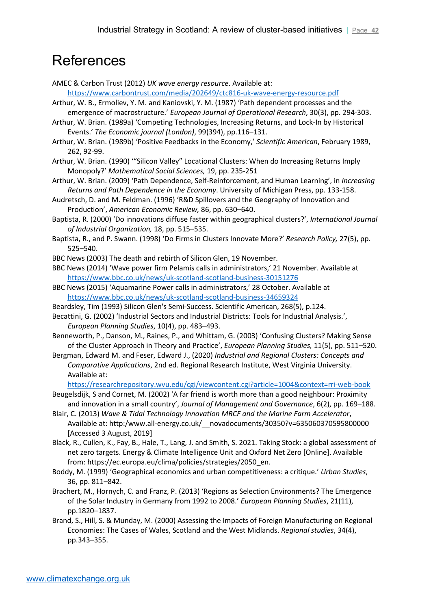# References

AMEC & Carbon Trust (2012) *UK wave energy resource*. Available at:

<https://www.carbontrust.com/media/202649/ctc816-uk-wave-energy-resource.pdf>

Arthur, W. B., Ermoliev, Y. M. and Kaniovski, Y. M. (1987) 'Path dependent processes and the emergence of macrostructure.' *European Journal of Operational Research*, 30(3), pp. 294-303.

Arthur, W. Brian. (1989a) 'Competing Technologies, Increasing Returns, and Lock-In by Historical Events.' *The Economic journal (London)*, 99(394), pp.116–131.

- Arthur, W. Brian. (1989b) 'Positive Feedbacks in the Economy,' *Scientific American*, February 1989, 262, 92-99.
- Arthur, W. Brian. (1990) '"Silicon Valley" Locational Clusters: When do Increasing Returns Imply Monopoly?' *Mathematical Social Sciences,* 19, pp. 235-251
- Arthur, W. Brian. (2009) 'Path Dependence, Self-Reinforcement, and Human Learning', in *Increasing Returns and Path Dependence in the Economy*. University of Michigan Press, pp. 133-158.
- Audretsch, D. and M. Feldman. (1996) 'R&D Spillovers and the Geography of Innovation and Production', *American Economic Review,* 86, pp. 630–640.
- Baptista, R. (2000) 'Do innovations diffuse faster within geographical clusters?', *International Journal of Industrial Organization,* 18, pp. 515–535.
- Baptista, R., and P. Swann. (1998) 'Do Firms in Clusters Innovate More?' *Research Policy,* 27(5), pp. 525–540.
- BBC News (2003) The death and rebirth of Silicon Glen, 19 November.
- BBC News (2014) 'Wave power firm Pelamis calls in administrators,' 21 November. Available at <https://www.bbc.co.uk/news/uk-scotland-scotland-business-30151276>
- BBC News (2015) 'Aquamarine Power calls in administrators,' 28 October. Available at <https://www.bbc.co.uk/news/uk-scotland-scotland-business-34659324>
- Beardsley, Tim (1993) Silicon Glen's Semi-Success. Scientific American, 268(5), p.124.
- Becattini, G. (2002) 'Industrial Sectors and Industrial Districts: Tools for Industrial Analysis.', *European Planning Studies*, 10(4), pp. 483–493.
- Benneworth, P., Danson, M., Raines, P., and Whittam, G. (2003) 'Confusing Clusters? Making Sense of the Cluster Approach in Theory and Practice', *European Planning Studies,* 11(5), pp. 511–520.
- Bergman, Edward M. and Feser, Edward J., (2020) *Industrial and Regional Clusters: Concepts and Comparative Applications*, 2nd ed. Regional Research Institute, West Virginia University. Available at:

<https://researchrepository.wvu.edu/cgi/viewcontent.cgi?article=1004&context=rri-web-book>

- Beugelsdijk, S and Cornet, M. (2002) 'A far friend is worth more than a good neighbour: Proximity and innovation in a small country', *Journal of Management and Governance*, 6(2), pp. 169–188.
- Blair, C. (2013) *Wave & Tidal Technology Innovation MRCF and the Marine Farm Accelerator*, Available at: http:/www.all-energy.co.uk/\_\_novadocuments/30350?v=635060370595800000 [Accessed 3 August, 2019]
- Black, R., Cullen, K., Fay, B., Hale, T., Lang, J. and Smith, S. 2021. Taking Stock: a global assessment of net zero targets. Energy & Climate Intelligence Unit and Oxford Net Zero [Online]. Available from: https://ec.europa.eu/clima/policies/strategies/2050\_en.
- Boddy, M. (1999) 'Geographical economics and urban competitiveness: a critique.' *Urban Studies*, 36, pp. 811–842.
- Brachert, M., Hornych, C. and Franz, P. (2013) 'Regions as Selection Environments? The Emergence of the Solar Industry in Germany from 1992 to 2008.' *European Planning Studies*, 21(11), pp.1820–1837.
- Brand, S., Hill, S. & Munday, M. (2000) Assessing the Impacts of Foreign Manufacturing on Regional Economies: The Cases of Wales, Scotland and the West Midlands. *Regional studies*, 34(4), pp.343–355.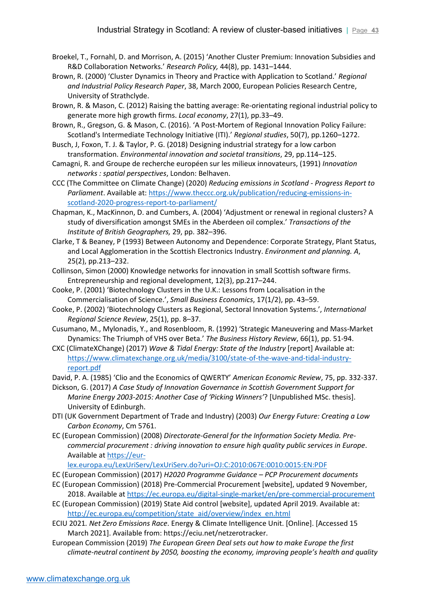- Broekel, T., Fornahl, D. and Morrison, A. (2015) 'Another Cluster Premium: Innovation Subsidies and R&D Collaboration Networks.' *Research Policy,* 44(8), pp. 1431–1444.
- Brown, R. (2000) 'Cluster Dynamics in Theory and Practice with Application to Scotland.' *Regional and Industrial Policy Research Paper*, 38, March 2000, European Policies Research Centre, University of Strathclyde.
- Brown, R. & Mason, C. (2012) Raising the batting average: Re-orientating regional industrial policy to generate more high growth firms. *Local economy*, 27(1), pp.33–49.
- Brown, R., Gregson, G. & Mason, C. (2016). 'A Post-Mortem of Regional Innovation Policy Failure: Scotland's Intermediate Technology Initiative (ITI).' *Regional studies*, 50(7), pp.1260–1272.
- Busch, J, Foxon, T. J. & Taylor, P. G. (2018) Designing industrial strategy for a low carbon transformation. *Environmental innovation and societal transitions*, 29, pp.114–125.
- Camagni, R. and Groupe de recherche européen sur les milieux innovateurs, (1991) *Innovation networks : spatial perspectives*, London: Belhaven.
- CCC (The Committee on Climate Change) (2020) *Reducing emissions in Scotland - Progress Report to Parliament*. Available at: [https://www.theccc.org.uk/publication/reducing-emissions-in](https://www.theccc.org.uk/publication/reducing-emissions-in-scotland-2020-progress-report-to-parliament/)[scotland-2020-progress-report-to-parliament/](https://www.theccc.org.uk/publication/reducing-emissions-in-scotland-2020-progress-report-to-parliament/)
- Chapman, K., MacKinnon, D. and Cumbers, A. (2004) 'Adjustment or renewal in regional clusters? A study of diversification amongst SMEs in the Aberdeen oil complex.' *Transactions of the Institute of British Geographers,* 29, pp. 382–396.
- Clarke, T & Beaney, P (1993) Between Autonomy and Dependence: Corporate Strategy, Plant Status, and Local Agglomeration in the Scottish Electronics Industry. *Environment and planning. A*, 25(2), pp.213–232.
- Collinson, Simon (2000) Knowledge networks for innovation in small Scottish software firms. Entrepreneurship and regional development, 12(3), pp.217–244.
- Cooke, P. (2001) 'Biotechnology Clusters in the U.K.: Lessons from Localisation in the Commercialisation of Science.', *Small Business Economics*, 17(1/2), pp. 43–59.
- Cooke, P. (2002) 'Biotechnology Clusters as Regional, Sectoral Innovation Systems.', *International Regional Science Review*, 25(1), pp. 8–37.
- Cusumano, M., Mylonadis, Y., and Rosenbloom, R. (1992) 'Strategic Maneuvering and Mass-Market Dynamics: The Triumph of VHS over Beta.' *The Business History Review*, 66(1), pp. 51-94.
- CXC (ClimateXChange) (2017) *Wave & Tidal Energy: State of the Industry* [report] Available at: [https://www.climatexchange.org.uk/media/3100/state-of-the-wave-and-tidal-industry](https://www.climatexchange.org.uk/media/3100/state-of-the-wave-and-tidal-industry-report.pdf)[report.pdf](https://www.climatexchange.org.uk/media/3100/state-of-the-wave-and-tidal-industry-report.pdf)
- David, P. A. (1985) 'Clio and the Economics of QWERTY' *American Economic Review*, 75, pp. 332-337.
- Dickson, G. (2017) *A Case Study of Innovation Governance in Scottish Government Support for Marine Energy 2003-2015: Another Case of 'Picking Winners'*? [Unpublished MSc. thesis]. University of Edinburgh.
- DTI (UK Government Department of Trade and Industry) (2003) *Our Energy Future: Creating a Low Carbon Economy*, Cm 5761.
- EC (European Commission) (2008) *Directorate-General for the Information Society Media. Precommercial procurement : driving innovation to ensure high quality public services in Europe*. Available at [https://eur-](https://eur-lex.europa.eu/LexUriServ/LexUriServ.do?uri=OJ:C:2010:067E:0010:0015:EN:PDF)

[lex.europa.eu/LexUriServ/LexUriServ.do?uri=OJ:C:2010:067E:0010:0015:EN:PDF](https://eur-lex.europa.eu/LexUriServ/LexUriServ.do?uri=OJ:C:2010:067E:0010:0015:EN:PDF)

- EC (European Commission) (2017) *H2020 Programme Guidance – PCP Procurement documents*
- EC (European Commission) (2018) Pre-Commercial Procurement [website], updated 9 November, 2018. Available a[t https://ec.europa.eu/digital-single-market/en/pre-commercial-procurement](https://ec.europa.eu/digital-single-market/en/pre-commercial-procurement)
- EC (European Commission) (2019) State Aid control [website], updated April 2019. Available at: [http://ec.europa.eu/competition/state\\_aid/overview/index\\_en.html](http://ec.europa.eu/competition/state_aid/overview/index_en.html)
- ECIU 2021*. Net Zero Emissions Race*. Energy & Climate Intelligence Unit. [Online]. [Accessed 15 March 2021]. Available from: https://eciu.net/netzerotracker.
- European Commission (2019) *The European Green Deal sets out how to make Europe the first climate-neutral continent by 2050, boosting the economy, improving people's health and quality*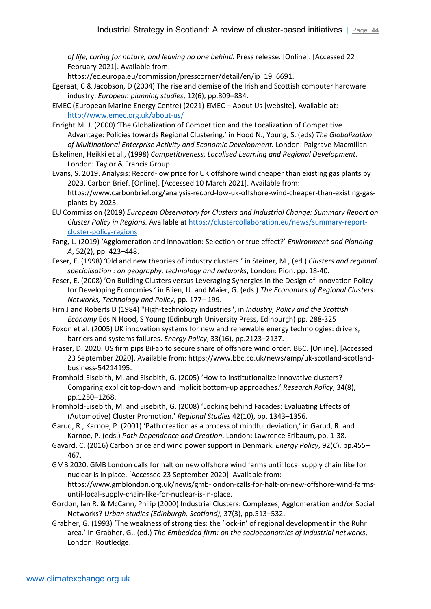*of life, caring for nature, and leaving no one behind.* Press release. [Online]. [Accessed 22 February 2021]. Available from:

https://ec.europa.eu/commission/presscorner/detail/en/ip\_19\_6691.

- Egeraat, C & Jacobson, D (2004) The rise and demise of the Irish and Scottish computer hardware industry. *European planning studies*, 12(6), pp.809–834.
- EMEC (European Marine Energy Centre) (2021) EMEC About Us [website], Available at: <http://www.emec.org.uk/about-us/>
- Enright M. J. (2000) 'The Globalization of Competition and the Localization of Competitive Advantage: Policies towards Regional Clustering.' in Hood N., Young, S. (eds) *The Globalization of Multinational Enterprise Activity and Economic Development.* London: Palgrave Macmillan.
- Eskelinen, Heikki et al., (1998) *Competitiveness, Localised Learning and Regional Development*. London: Taylor & Francis Group.
- Evans, S. 2019. Analysis: Record-low price for UK offshore wind cheaper than existing gas plants by 2023. Carbon Brief. [Online]. [Accessed 10 March 2021]. Available from: https://www.carbonbrief.org/analysis-record-low-uk-offshore-wind-cheaper-than-existing-gasplants-by-2023.
- EU Commission (2019) *European Observatory for Clusters and Industrial Change: Summary Report on Cluster Policy in Regions.* Available a[t https://clustercollaboration.eu/news/summary-report](https://clustercollaboration.eu/news/summary-report-cluster-policy-regions)[cluster-policy-regions](https://clustercollaboration.eu/news/summary-report-cluster-policy-regions)
- Fang, L. (2019) 'Agglomeration and innovation: Selection or true effect?' *Environment and Planning A*, 52(2), pp. 423–448.
- Feser, E. (1998) 'Old and new theories of industry clusters.' in Steiner, M., (ed.) *Clusters and regional specialisation : on geography, technology and networks*, London: Pion. pp. 18-40.
- Feser, E. (2008) 'On Building Clusters versus Leveraging Synergies in the Design of Innovation Policy for Developing Economies.' in Blien, U. and Maier, G. (eds.) *The Economics of Regional Clusters: Networks, Technology and Policy*, pp. 177– 199.
- Firn J and Roberts D (1984) "High-technology industries", in *Industry, Policy and the Scottish Economy* Eds N Hood, S Young (Edinburgh University Press, Edinburgh) pp. 288-325
- Foxon et al. (2005) UK innovation systems for new and renewable energy technologies: drivers, barriers and systems failures. *Energy Policy*, 33(16), pp.2123–2137.
- Fraser, D. 2020. US firm pips BiFab to secure share of offshore wind order. BBC. [Online]. [Accessed 23 September 2020]. Available from: https://www.bbc.co.uk/news/amp/uk-scotland-scotlandbusiness-54214195.
- Fromhold-Eisebith, M. and Eisebith, G. (2005) 'How to institutionalize innovative clusters? Comparing explicit top-down and implicit bottom-up approaches.' *Research Policy*, 34(8), pp.1250–1268.
- Fromhold-Eisebith, M. and Eisebith, G. (2008) 'Looking behind Facades: Evaluating Effects of (Automotive) Cluster Promotion.' *Regional Studies* 42(10), pp. 1343–1356.
- Garud, R., Karnoe, P. (2001) 'Path creation as a process of mindful deviation,' in Garud, R. and Karnoe, P. (eds.) *Path Dependence and Creation*. London: Lawrence Erlbaum, pp. 1-38.
- Gavard, C. (2016) Carbon price and wind power support in Denmark. *Energy Policy*, 92(C), pp.455– 467.
- GMB 2020. GMB London calls for halt on new offshore wind farms until local supply chain like for nuclear is in place. [Accessed 23 September 2020]. Available from: https://www.gmblondon.org.uk/news/gmb-london-calls-for-halt-on-new-offshore-wind-farmsuntil-local-supply-chain-like-for-nuclear-is-in-place.
- Gordon, Ian R. & McCann, Philip (2000) Industrial Clusters: Complexes, Agglomeration and/or Social Networks? *Urban studies (Edinburgh, Scotland),* 37(3), pp.513–532.
- Grabher, G. (1993) 'The weakness of strong ties: the 'lock-in' of regional development in the Ruhr area.' In Grabher, G., (ed.) *The Embedded firm: on the socioeconomics of industrial networks*, London: Routledge.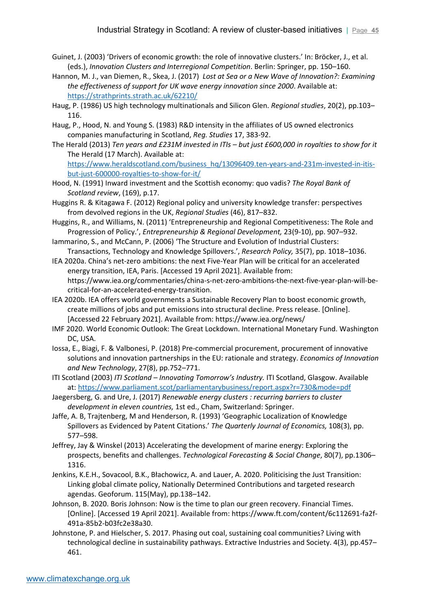- Guinet, J. (2003) 'Drivers of economic growth: the role of innovative clusters.' In: Bröcker, J., et al. (eds.), *Innovation Clusters and Interregional Competition*. Berlin: Springer, pp. 150–160.
- Hannon, M. J., van Diemen, R., Skea, J. (2017) *Lost at Sea or a New Wave of Innovation?: Examining the effectiveness of support for UK wave energy innovation since 2000*. Available at: <https://strathprints.strath.ac.uk/62210/>
- Haug, P. (1986) US high technology multinationals and Silicon Glen. *Regional studies*, 20(2), pp.103– 116.
- Haug, P., Hood, N. and Young S. (1983) R&D intensity in the affiliates of US owned electronics companies manufacturing in Scotland, *Reg. Studies* 17, 383-92.
- The Herald (2013) *Ten years and £231M invested in ITIs – but just £600,000 in royalties to show for it*  The Herald (17 March). Available at:

[https://www.heraldscotland.com/business\\_hq/13096409.ten-years-and-231m-invested-in-itis](https://www.heraldscotland.com/business_hq/13096409.ten-years-and-231m-invested-in-itis-but-just-600000-royalties-to-show-for-it/)[but-just-600000-royalties-to-show-for-it/](https://www.heraldscotland.com/business_hq/13096409.ten-years-and-231m-invested-in-itis-but-just-600000-royalties-to-show-for-it/)

- Hood, N. (1991) Inward investment and the Scottish economy: quo vadis? *The Royal Bank of Scotland review*, (169), p.17.
- Huggins R. & Kitagawa F. (2012) Regional policy and university knowledge transfer: perspectives from devolved regions in the UK, *Regional Studies* (46), 817–832.
- Huggins, R., and Williams, N. (2011) 'Entrepreneurship and Regional Competitiveness: The Role and Progression of Policy.', *Entrepreneurship & Regional Development,* 23(9-10), pp. 907–932.
- Iammarino, S., and McCann, P. (2006) 'The Structure and Evolution of Industrial Clusters: Transactions, Technology and Knowledge Spillovers.', *Research Policy,* 35(7), pp. 1018–1036.
- IEA 2020a. China's net-zero ambitions: the next Five-Year Plan will be critical for an accelerated energy transition, IEA, Paris. [Accessed 19 April 2021]. Available from: https://www.iea.org/commentaries/china-s-net-zero-ambitions-the-next-five-year-plan-will-becritical-for-an-accelerated-energy-transition.
- IEA 2020b. IEA offers world governments a Sustainable Recovery Plan to boost economic growth, create millions of jobs and put emissions into structural decline. Press release. [Online]. [Accessed 22 February 2021]. Available from: https://www.iea.org/news/
- IMF 2020. World Economic Outlook: The Great Lockdown. International Monetary Fund. Washington DC, USA.
- Iossa, E., Biagi, F. & Valbonesi, P. (2018) Pre-commercial procurement, procurement of innovative solutions and innovation partnerships in the EU: rationale and strategy. *Economics of Innovation and New Technology*, 27(8), pp.752–771.
- ITI Scotland (2003) *ITI Scotland – Innovating Tomorrow's Industry.* ITI Scotland, Glasgow. Available at[: https://www.parliament.scot/parliamentarybusiness/report.aspx?r=730&mode=pdf](https://www.parliament.scot/parliamentarybusiness/report.aspx?r=730&mode=pdf)
- Jaegersberg, G. and Ure, J. (2017) *Renewable energy clusters : recurring barriers to cluster development in eleven countries,* 1st ed., Cham, Switzerland: Springer.
- Jaffe, A. B, Trajtenberg, M and Henderson, R. (1993) 'Geographic Localization of Knowledge Spillovers as Evidenced by Patent Citations.' *The Quarterly Journal of Economics,* 108(3), pp. 577–598.
- Jeffrey, Jay & Winskel (2013) Accelerating the development of marine energy: Exploring the prospects, benefits and challenges. *Technological Forecasting & Social Change*, 80(7), pp.1306– 1316.
- Jenkins, K.E.H., Sovacool, B.K., Błachowicz, A. and Lauer, A. 2020. Politicising the Just Transition: Linking global climate policy, Nationally Determined Contributions and targeted research agendas. Geoforum. 115(May), pp.138–142.
- Johnson, B. 2020. Boris Johnson: Now is the time to plan our green recovery. Financial Times. [Online]. [Accessed 19 April 2021]. Available from: https://www.ft.com/content/6c112691-fa2f-491a-85b2-b03fc2e38a30.
- Johnstone, P. and Hielscher, S. 2017. Phasing out coal, sustaining coal communities? Living with technological decline in sustainability pathways. Extractive Industries and Society. 4(3), pp.457– 461.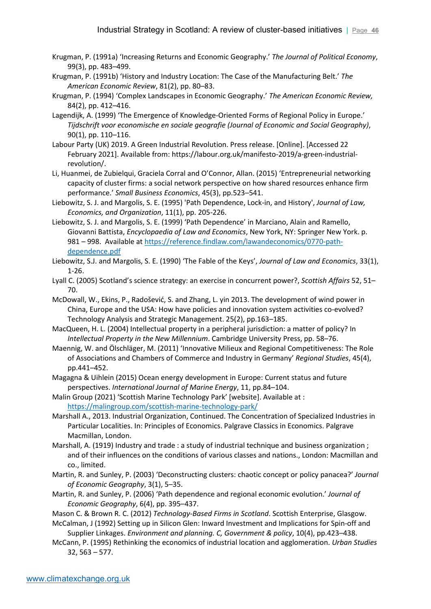- Krugman, P. (1991a) 'Increasing Returns and Economic Geography.' *The Journal of Political Economy*, 99(3), pp. 483–499.
- Krugman, P. (1991b) 'History and Industry Location: The Case of the Manufacturing Belt.' *The American Economic Review*, 81(2), pp. 80–83.
- Krugman, P. (1994) 'Complex Landscapes in Economic Geography.' *The American Economic Review,* 84(2), pp. 412–416.
- Lagendijk, A. (1999) 'The Emergence of Knowledge-Oriented Forms of Regional Policy in Europe.' *Tijdschrift voor economische en sociale geografie (Journal of Economic and Social Geography)*, 90(1), pp. 110–116.
- Labour Party (UK) 2019. A Green Industrial Revolution. Press release. [Online]. [Accessed 22 February 2021]. Available from: https://labour.org.uk/manifesto-2019/a-green-industrialrevolution/.
- Li, Huanmei, de Zubielqui, Graciela Corral and O'Connor, Allan. (2015) 'Entrepreneurial networking capacity of cluster firms: a social network perspective on how shared resources enhance firm performance.' *Small Business Economics*, 45(3), pp.523–541.
- Liebowitz, S. J. and Margolis, S. E. (1995) 'Path Dependence, Lock-in, and History', *Journal of Law, Economics, and Organization*, 11(1), pp. 205-226.
- Liebowitz, S. J. and Margolis, S. E. (1999) 'Path Dependence' in Marciano, Alain and Ramello, Giovanni Battista, *Encyclopaedia of Law and Economics*, New York, NY: Springer New York. p. 981 – 998. Available a[t https://reference.findlaw.com/lawandeconomics/0770-path](https://reference.findlaw.com/lawandeconomics/0770-path-dependence.pdf)[dependence.pdf](https://reference.findlaw.com/lawandeconomics/0770-path-dependence.pdf)
- Liebowitz, S.J. and Margolis, S. E. (1990) 'The Fable of the Keys', *Journal of Law and Economics*, 33(1), 1-26.
- Lyall C. (2005) Scotland's science strategy: an exercise in concurrent power?, *Scottish Affairs* 52, 51– 70.
- McDowall, W., Ekins, P., Radošević, S. and Zhang, L. yin 2013. The development of wind power in China, Europe and the USA: How have policies and innovation system activities co-evolved? Technology Analysis and Strategic Management. 25(2), pp.163–185.
- MacQueen, H. L. (2004) Intellectual property in a peripheral jurisdiction: a matter of policy? In *Intellectual Property in the New Millennium*. Cambridge University Press, pp. 58–76.
- Maennig, W. and Ölschläger, M. (2011) 'Innovative Milieux and Regional Competitiveness: The Role of Associations and Chambers of Commerce and Industry in Germany' *Regional Studies*, 45(4), pp.441–452.
- Magagna & Uihlein (2015) Ocean energy development in Europe: Current status and future perspectives. *International Journal of Marine Energy*, 11, pp.84–104.
- Malin Group (2021) 'Scottish Marine Technology Park' [website]. Available at : <https://malingroup.com/scottish-marine-technology-park/>
- Marshall A., 2013. Industrial Organization, Continued. The Concentration of Specialized Industries in Particular Localities. In: Principles of Economics. Palgrave Classics in Economics. Palgrave Macmillan, London.
- Marshall, A. (1919) Industry and trade : a study of industrial technique and business organization ; and of their influences on the conditions of various classes and nations., London: Macmillan and co., limited.
- Martin, R. and Sunley, P. (2003) 'Deconstructing clusters: chaotic concept or policy panacea?' *Journal of Economic Geography*, 3(1), 5–35.
- Martin, R. and Sunley, P. (2006) 'Path dependence and regional economic evolution.' *Journal of Economic Geography*, 6(4), pp. 395–437.
- Mason C. & Brown R. C. (2012) *Technology-Based Firms in Scotland*. Scottish Enterprise, Glasgow.
- McCalman, J (1992) Setting up in Silicon Glen: Inward Investment and Implications for Spin-off and Supplier Linkages. *Environment and planning. C, Government & policy*, 10(4), pp.423–438.
- McCann, P. (1995) Rethinking the economics of industrial location and agglomeration. *Urban Studies* 32, 563 – 577.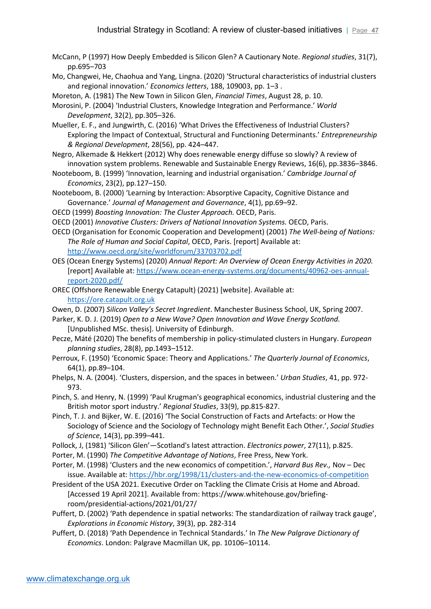- McCann, P (1997) How Deeply Embedded is Silicon Glen? A Cautionary Note. *Regional studies*, 31(7), pp.695–703
- Mo, Changwei, He, Chaohua and Yang, Lingna. (2020) 'Structural characteristics of industrial clusters and regional innovation.' *Economics letters*, 188, 109003, pp. 1–3 .

Moreton, A. (1981) The New Town in Silicon Glen, *Financial Times*, August 28, p. 10.

Morosini, P. (2004) 'Industrial Clusters, Knowledge Integration and Performance.' *World Development*, 32(2), pp.305–326.

Mueller, E. F., and Jungwirth, C. (2016) 'What Drives the Effectiveness of Industrial Clusters? Exploring the Impact of Contextual, Structural and Functioning Determinants.' *Entrepreneurship & Regional Development*, 28(56), pp. 424–447.

Negro, Alkemade & Hekkert (2012) Why does renewable energy diffuse so slowly? A review of innovation system problems. Renewable and Sustainable Energy Reviews, 16(6), pp.3836–3846.

- Nooteboom, B. (1999) 'Innovation, learning and industrial organisation.' *Cambridge Journal of Economics*, 23(2), pp.127–150.
- Nooteboom, B. (2000) 'Learning by Interaction: Absorptive Capacity, Cognitive Distance and Governance.' *Journal of Management and Governance*, 4(1), pp.69–92.
- OECD (1999) *Boosting Innovation: The Cluster Approach.* OECD, Paris.
- OECD (2001) *Innovative Clusters: Drivers of National Innovation Systems.* OECD, Paris.
- OECD (Organisation for Economic Cooperation and Development) (2001) *The Well-being of Nations: The Role of Human and Social Capital*, OECD, Paris. [report] Available at: <http://www.oecd.org/site/worldforum/33703702.pdf>
- OES (Ocean Energy Systems) (2020) *Annual Report: An Overview of Ocean Energy Activities in 2020.*  [report] Available at[: https://www.ocean-energy-systems.org/documents/40962-oes-annual](https://www.ocean-energy-systems.org/documents/40962-oes-annual-report-2020.pdf/)[report-2020.pdf/](https://www.ocean-energy-systems.org/documents/40962-oes-annual-report-2020.pdf/)
- OREC (Offshore Renewable Energy Catapult) (2021) [website]. Available at: [https://ore.catapult.org.uk](https://ore.catapult.org.uk/)
- Owen, D. (2007) *Silicon Valley's Secret Ingredient*. Manchester Business School, UK, Spring 2007.
- Parker, K. D. J. (2019) *Open to a New Wave? Open Innovation and Wave Energy Scotland.* [Unpublished MSc. thesis]. University of Edinburgh.
- Pecze, Máté (2020) The benefits of membership in policy-stimulated clusters in Hungary. *European planning studies*, 28(8), pp.1493–1512.
- Perroux, F. (1950) 'Economic Space: Theory and Applications.' *The Quarterly Journal of Economics*, 64(1), pp.89–104.
- Phelps, N. A. (2004). 'Clusters, dispersion, and the spaces in between.' *Urban Studies*, 41, pp. 972- 973.
- Pinch, S. and Henry, N. (1999) 'Paul Krugman's geographical economics, industrial clustering and the British motor sport industry.' *Regional Studies*, 33(9), pp.815-827.
- Pinch, T. J. and Bijker, W. E. (2016) 'The Social Construction of Facts and Artefacts: or How the Sociology of Science and the Sociology of Technology might Benefit Each Other.', *Social Studies of Science*, 14(3), pp.399–441.
- Pollock, J, (1981) 'Silicon Glen'—Scotland's latest attraction. *Electronics power*, 27(11), p.825.
- Porter, M. (1990) *The Competitive Advantage of Nations*, Free Press, New York.
- Porter, M. (1998) 'Clusters and the new economics of competition.', *Harvard Bus Rev.,* Nov Dec issue. Available at[: https://hbr.org/1998/11/clusters-and-the-new-economics-of-competition](https://hbr.org/1998/11/clusters-and-the-new-economics-of-competition)
- President of the USA 2021. Executive Order on Tackling the Climate Crisis at Home and Abroad. [Accessed 19 April 2021]. Available from: https://www.whitehouse.gov/briefingroom/presidential-actions/2021/01/27/
- Puffert, D. (2002) 'Path dependence in spatial networks: The standardization of railway track gauge', *Explorations in Economic History*, 39(3), pp. 282-314
- Puffert, D. (2018) 'Path Dependence in Technical Standards.' In *The New Palgrave Dictionary of Economics*. London: Palgrave Macmillan UK, pp. 10106–10114.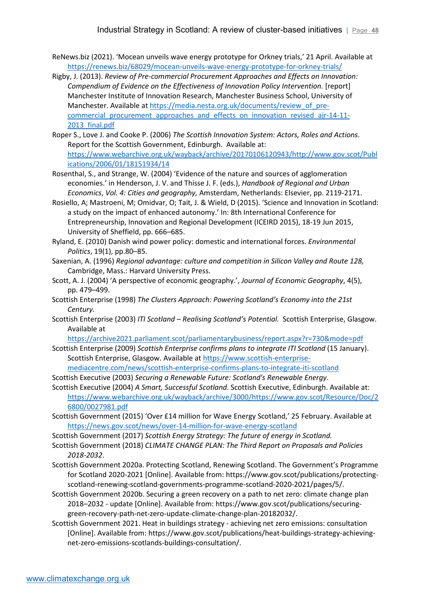- ReNews.biz (2021). 'Mocean unveils wave energy prototype for Orkney trials,' 21 April. Available at <https://renews.biz/68029/mocean-unveils-wave-energy-prototype-for-orkney-trials/>
- Rigby, J. (2013). *Review of Pre-commercial Procurement Approaches and Effects on Innovation: Compendium of Evidence on the Effectiveness of Innovation Policy Intervention.* [report] Manchester Institute of Innovation Research, Manchester Business School, University of Manchester. Available at [https://media.nesta.org.uk/documents/review\\_of\\_pre](https://media.nesta.org.uk/documents/review_of_pre-commercial_procurement_approaches_and_effects_on_innovation_revised_ajr-14-11-2013_final.pdf)commercial procurement approaches and effects on innovation revised ajr-14-11-2013 final.pdf
- Roper S., Love J. and Cooke P. (2006) *The Scottish Innovation System: Actors, Roles and Actions*. Report for the Scottish Government, Edinburgh. Available at: [https://www.webarchive.org.uk/wayback/archive/20170106120943/http://www.gov.scot/Publ](https://www.webarchive.org.uk/wayback/archive/20170106120943/http:/www.gov.scot/Publications/2006/01/18151934/14) [ications/2006/01/18151934/14](https://www.webarchive.org.uk/wayback/archive/20170106120943/http:/www.gov.scot/Publications/2006/01/18151934/14)
- Rosenthal, S., and Strange, W. (2004) 'Evidence of the nature and sources of agglomeration economies.' in Henderson, J. V. and Thisse J. F. (eds.), *Handbook of Regional and Urban Economics*, *Vol. 4: Cities and geography,* Amsterdam, Netherlands: Elsevier, pp. 2119-2171.
- Rosiello, A; Mastroeni, M; Omidvar, O; Tait, J. & Wield, D (2015). 'Science and Innovation in Scotland: a study on the impact of enhanced autonomy.' In: 8th International Conference for Entrepreneurship, Innovation and Regional Development (ICEIRD 2015), 18-19 Jun 2015, University of Sheffield, pp. 666–685.
- Ryland, E. (2010) Danish wind power policy: domestic and international forces. *Environmental Politics*, 19(1), pp.80–85.
- Saxenian, A. (1996) *Regional advantage: culture and competition in Silicon Valley and Route 128,*  Cambridge, Mass.: Harvard University Press.
- Scott, A. J. (2004) 'A perspective of economic geography.', *Journal of Economic Geography*, 4(5), pp. 479–499.
- Scottish Enterprise (1998) *The Clusters Approach: Powering Scotland's Economy into the 21st Century.*
- Scottish Enterprise (2003) *ITI Scotland – Realising Scotland's Potential.* Scottish Enterprise, Glasgow. Available at

<https://archive2021.parliament.scot/parliamentarybusiness/report.aspx?r=730&mode=pdf>

- Scottish Enterprise (2009) *Scottish Enterprise confirms plans to integrate ITI Scotland* (15 January). Scottish Enterprise, Glasgow. Available at [https://www.scottish-enterprise-](https://www.scottish-enterprise-mediacentre.com/news/scottish-enterprise-confirms-plans-to-integrate-iti-scotland)
- [mediacentre.com/news/scottish-enterprise-confirms-plans-to-integrate-iti-scotland](https://www.scottish-enterprise-mediacentre.com/news/scottish-enterprise-confirms-plans-to-integrate-iti-scotland) Scottish Executive (2003) *Securing a Renewable Future: Scotland's Renewable Energy*.
- Scottish Executive (2004) *A Smart, Successful Scotland*. Scottish Executive, Edinburgh. Available at: [https://www.webarchive.org.uk/wayback/archive/3000/https://www.gov.scot/Resource/Doc/2](https://www.webarchive.org.uk/wayback/archive/3000/https:/www.gov.scot/Resource/Doc/26800/0027981.pdf) [6800/0027981.pdf](https://www.webarchive.org.uk/wayback/archive/3000/https:/www.gov.scot/Resource/Doc/26800/0027981.pdf)
- Scottish Government (2015) 'Over £14 million for Wave Energy Scotland,' 25 February. Available at <https://news.gov.scot/news/over-14-million-for-wave-energy-scotland>
- Scottish Government (2017) *Scottish Energy Strategy: The future of energy in Scotland.*
- Scottish Government (2018) *CLIMATE CHANGE PLAN: The Third Report on Proposals and Policies 2018-2032*.
- Scottish Government 2020a. Protecting Scotland, Renewing Scotland. The Government's Programme for Scotland 2020-2021 [Online]. Available from: https://www.gov.scot/publications/protectingscotland-renewing-scotland-governments-programme-scotland-2020-2021/pages/5/.
- Scottish Government 2020b. Securing a green recovery on a path to net zero: climate change plan 2018–2032 - update [Online]. Available from: https://www.gov.scot/publications/securinggreen-recovery-path-net-zero-update-climate-change-plan-20182032/.
- Scottish Government 2021. Heat in buildings strategy achieving net zero emissions: consultation [Online]. Available from: https://www.gov.scot/publications/heat-buildings-strategy-achievingnet-zero-emissions-scotlands-buildings-consultation/.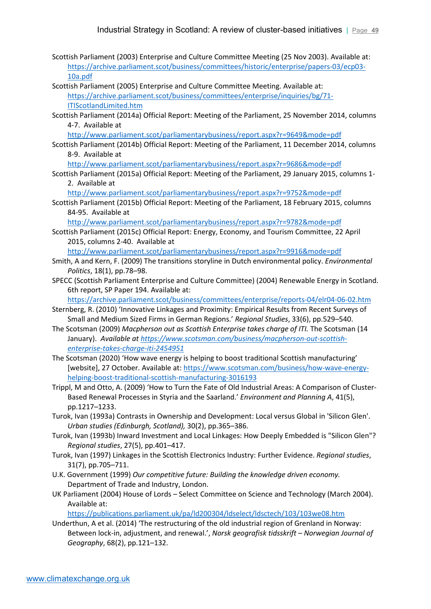- Scottish Parliament (2003) Enterprise and Culture Committee Meeting (25 Nov 2003). Available at: [https://archive.parliament.scot/business/committees/historic/enterprise/papers-03/ecp03-](https://archive.parliament.scot/business/committees/historic/enterprise/papers-03/ecp03-10a.pdf) [10a.pdf](https://archive.parliament.scot/business/committees/historic/enterprise/papers-03/ecp03-10a.pdf)
- Scottish Parliament (2005) Enterprise and Culture Committee Meeting. Available at: [https://archive.parliament.scot/business/committees/enterprise/inquiries/bg/71-](https://archive.parliament.scot/business/committees/enterprise/inquiries/bg/71-ITIScotlandLimited.htm) [ITIScotlandLimited.htm](https://archive.parliament.scot/business/committees/enterprise/inquiries/bg/71-ITIScotlandLimited.htm)
- Scottish Parliament (2014a) Official Report: Meeting of the Parliament, 25 November 2014, columns 4-7. Available at
	- <http://www.parliament.scot/parliamentarybusiness/report.aspx?r=9649&mode=pdf>
- Scottish Parliament (2014b) Official Report: Meeting of the Parliament, 11 December 2014, columns 8-9. Available at
	- <http://www.parliament.scot/parliamentarybusiness/report.aspx?r=9686&mode=pdf>
- Scottish Parliament (2015a) Official Report: Meeting of the Parliament, 29 January 2015, columns 1- 2. Available at

<http://www.parliament.scot/parliamentarybusiness/report.aspx?r=9752&mode=pdf>

Scottish Parliament (2015b) Official Report: Meeting of the Parliament, 18 February 2015, columns 84-95. Available at

<http://www.parliament.scot/parliamentarybusiness/report.aspx?r=9782&mode=pdf>

Scottish Parliament (2015c) Official Report: Energy, Economy, and Tourism Committee, 22 April 2015, columns 2-40. Available at

<http://www.parliament.scot/parliamentarybusiness/report.aspx?r=9916&mode=pdf>

- Smith, A and Kern, F. (2009) The transitions storyline in Dutch environmental policy. *Environmental Politics*, 18(1), pp.78–98.
- SPECC (Scottish Parliament Enterprise and Culture Committee) (2004) Renewable Energy in Scotland. 6th report, SP Paper 194. Available at:

<https://archive.parliament.scot/business/committees/enterprise/reports-04/elr04-06-02.htm>

- Sternberg, R. (2010) 'Innovative Linkages and Proximity: Empirical Results from Recent Surveys of Small and Medium Sized Firms in German Regions.' *Regional Studies*, 33(6), pp.529–540.
- The Scotsman (2009) *Macpherson out as Scottish Enterprise takes charge of ITI.* The Scotsman (14 January). *Available at [https://www.scotsman.com/business/macpherson-out-scottish](https://www.scotsman.com/business/macpherson-out-scottish-enterprise-takes-charge-iti-2454951)[enterprise-takes-charge-iti-2454951](https://www.scotsman.com/business/macpherson-out-scottish-enterprise-takes-charge-iti-2454951)*
- The Scotsman (2020) 'How wave energy is helping to boost traditional Scottish manufacturing' [website], 27 October. Available at[: https://www.scotsman.com/business/how-wave-energy](https://www.scotsman.com/business/how-wave-energy-helping-boost-traditional-scottish-manufacturing-3016193)[helping-boost-traditional-scottish-manufacturing-3016193](https://www.scotsman.com/business/how-wave-energy-helping-boost-traditional-scottish-manufacturing-3016193)
- Trippl, M and Otto, A. (2009) 'How to Turn the Fate of Old Industrial Areas: A Comparison of Cluster-Based Renewal Processes in Styria and the Saarland.' *Environment and Planning A*, 41(5), pp.1217–1233.
- Turok, Ivan (1993a) Contrasts in Ownership and Development: Local versus Global in 'Silicon Glen'. *Urban studies (Edinburgh, Scotland),* 30(2), pp.365–386.
- Turok, Ivan (1993b) Inward Investment and Local Linkages: How Deeply Embedded is "Silicon Glen"? *Regional studies*, 27(5), pp.401–417.
- Turok, Ivan (1997) Linkages in the Scottish Electronics Industry: Further Evidence. *Regional studies*, 31(7), pp.705–711.
- U.K. Government (1999) *Our competitive future: Building the knowledge driven economy.* Department of Trade and Industry, London.
- UK Parliament (2004) House of Lords Select Committee on Science and Technology (March 2004). Available at:

<https://publications.parliament.uk/pa/ld200304/ldselect/ldsctech/103/103we08.htm>

Underthun, A et al. (2014) 'The restructuring of the old industrial region of Grenland in Norway: Between lock-in, adjustment, and renewal.', *Norsk geografisk tidsskrift – Norwegian Journal of Geography*, 68(2), pp.121–132.